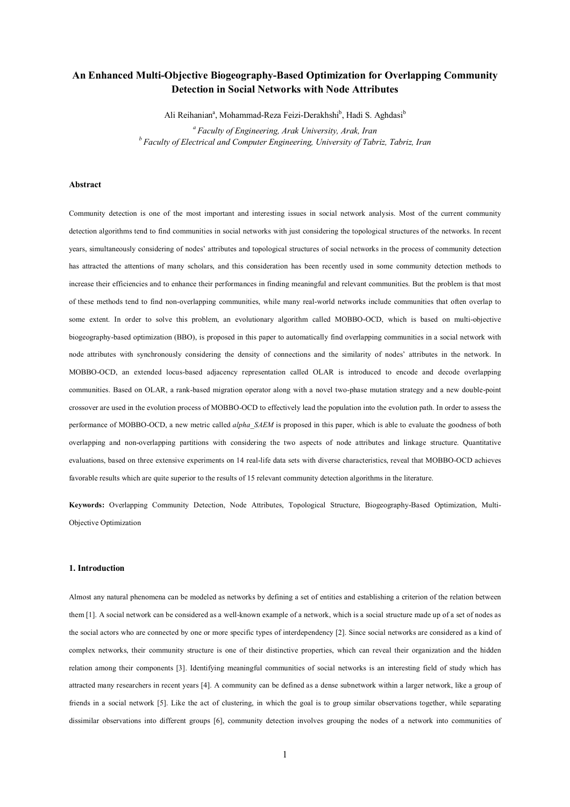# **An Enhanced Multi-Objective Biogeography-Based Optimization for Overlapping Community Detection in Social Networks with Node Attributes**

Ali Reihanian<sup>a</sup>, Mohammad-Reza Feizi-Derakhshi<sup>b</sup>, Hadi S. Aghdasi<sup>b</sup>

*<sup>a</sup>Faculty of Engineering, Arak University, Arak, Iran <sup>b</sup> Faculty of Electrical and Computer Engineering, University of Tabriz, Tabriz, Iran*

# **Abstract**

Community detection is one of the most important and interesting issues in social network analysis. Most of the current community detection algorithms tend to find communities in social networks with just considering the topological structures of the networks. In recent years, simultaneously considering of nodes' attributes and topological structures of social networks in the process of community detection has attracted the attentions of many scholars, and this consideration has been recently used in some community detection methods to increase their efficiencies and to enhance their performances in finding meaningful and relevant communities. But the problem is that most of these methods tend to find non-overlapping communities, while many real-world networks include communities that often overlap to some extent. In order to solve this problem, an evolutionary algorithm called MOBBO-OCD, which is based on multi-objective biogeography-based optimization (BBO), is proposed in this paper to automatically find overlapping communities in a social network with node attributes with synchronously considering the density of connections and the similarity of nodes' attributes in the network. In MOBBO-OCD, an extended locus-based adjacency representation called OLAR is introduced to encode and decode overlapping communities. Based on OLAR, a rank-based migration operator along with a novel two-phase mutation strategy and a new double-point crossover are used in the evolution process of MOBBO-OCD to effectively lead the population into the evolution path. In order to assess the performance of MOBBO-OCD, a new metric called *alpha\_SAEM* is proposed in this paper, which is able to evaluate the goodness of both overlapping and non-overlapping partitions with considering the two aspects of node attributes and linkage structure. Quantitative evaluations, based on three extensive experiments on 14 real-life data sets with diverse characteristics, reveal that MOBBO-OCD achieves favorable results which are quite superior to the results of 15 relevant community detection algorithms in the literature.

**Keywords:** Overlapping Community Detection, Node Attributes, Topological Structure, Biogeography-Based Optimization, Multi-Objective Optimization

### **1. Introduction**

Almost any natural phenomena can be modeled as networks by defining a set of entities and establishing a criterion of the relation between them [1]. A social network can be considered as a well-known example of a network, which is a social structure made up of a set of nodes as the social actors who are connected by one or more specific types of interdependency [2]. Since social networks are considered as a kind of complex networks, their community structure is one of their distinctive properties, which can reveal their organization and the hidden relation among their components [3]. Identifying meaningful communities of social networks is an interesting field of study which has attracted many researchers in recent years [4]. A community can be defined as a dense subnetwork within a larger network, like a group of friends in a social network [5]. Like the act of clustering, in which the goal is to group similar observations together, while separating dissimilar observations into different groups [6], community detection involves grouping the nodes of a network into communities of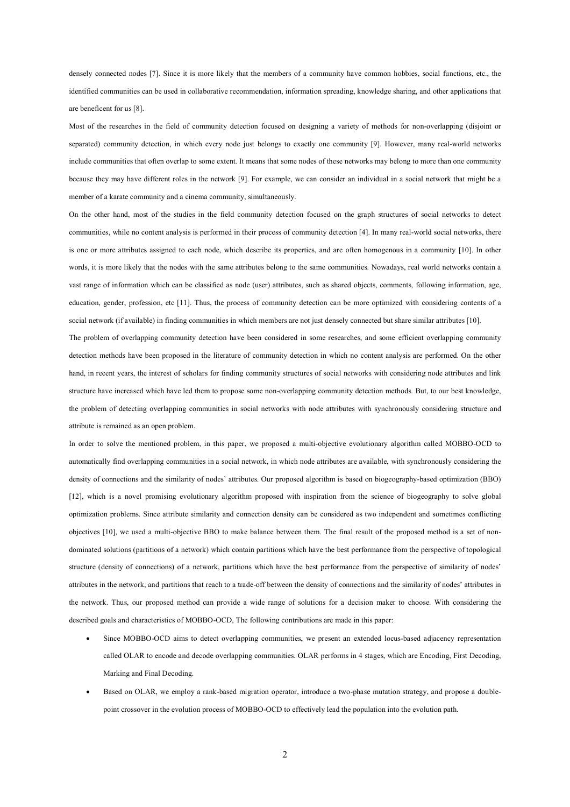densely connected nodes [7]. Since it is more likely that the members of a community have common hobbies, social functions, etc., the identified communities can be used in collaborative recommendation, information spreading, knowledge sharing, and other applications that are beneficent for us [8].

Most of the researches in the field of community detection focused on designing a variety of methods for non-overlapping (disjoint or separated) community detection, in which every node just belongs to exactly one community [9]. However, many real-world networks include communities that often overlap to some extent. It means that some nodes of these networks may belong to more than one community because they may have different roles in the network [9]. For example, we can consider an individual in a social network that might be a member of a karate community and a cinema community, simultaneously.

On the other hand, most of the studies in the field community detection focused on the graph structures of social networks to detect communities, while no content analysis is performed in their process of community detection [4]. In many real-world social networks, there is one or more attributes assigned to each node, which describe its properties, and are often homogenous in a community [10]. In other words, it is more likely that the nodes with the same attributes belong to the same communities. Nowadays, real world networks contain a vast range of information which can be classified as node (user) attributes, such as shared objects, comments, following information, age, education, gender, profession, etc [11]. Thus, the process of community detection can be more optimized with considering contents of a social network (if available) in finding communities in which members are not just densely connected but share similar attributes [10].

The problem of overlapping community detection have been considered in some researches, and some efficient overlapping community detection methods have been proposed in the literature of community detection in which no content analysis are performed. On the other hand, in recent years, the interest of scholars for finding community structures of social networks with considering node attributes and link structure have increased which have led them to propose some non-overlapping community detection methods. But, to our best knowledge, the problem of detecting overlapping communities in social networks with node attributes with synchronously considering structure and attribute is remained as an open problem.

In order to solve the mentioned problem, in this paper, we proposed a multi-objective evolutionary algorithm called MOBBO-OCD to automatically find overlapping communities in a social network, in which node attributes are available, with synchronously considering the density of connections and the similarity of nodes' attributes. Our proposed algorithm is based on biogeography-based optimization (BBO) [12], which is a novel promising evolutionary algorithm proposed with inspiration from the science of biogeography to solve global optimization problems. Since attribute similarity and connection density can be considered as two independent and sometimes conflicting objectives [10], we used a multi-objective BBO to make balance between them. The final result of the proposed method is a set of nondominated solutions (partitions of a network) which contain partitions which have the best performance from the perspective of topological structure (density of connections) of a network, partitions which have the best performance from the perspective of similarity of nodes' attributes in the network, and partitions that reach to a trade-off between the density of connections and the similarity of nodes' attributes in the network. Thus, our proposed method can provide a wide range of solutions for a decision maker to choose. With considering the described goals and characteristics of MOBBO-OCD, The following contributions are made in this paper:

- Since MOBBO-OCD aims to detect overlapping communities, we present an extended locus-based adjacency representation called OLAR to encode and decode overlapping communities. OLAR performs in 4 stages, which are Encoding, First Decoding, Marking and Final Decoding.
- Based on OLAR, we employ a rank-based migration operator, introduce a two-phase mutation strategy, and propose a doublepoint crossover in the evolution process of MOBBO-OCD to effectively lead the population into the evolution path.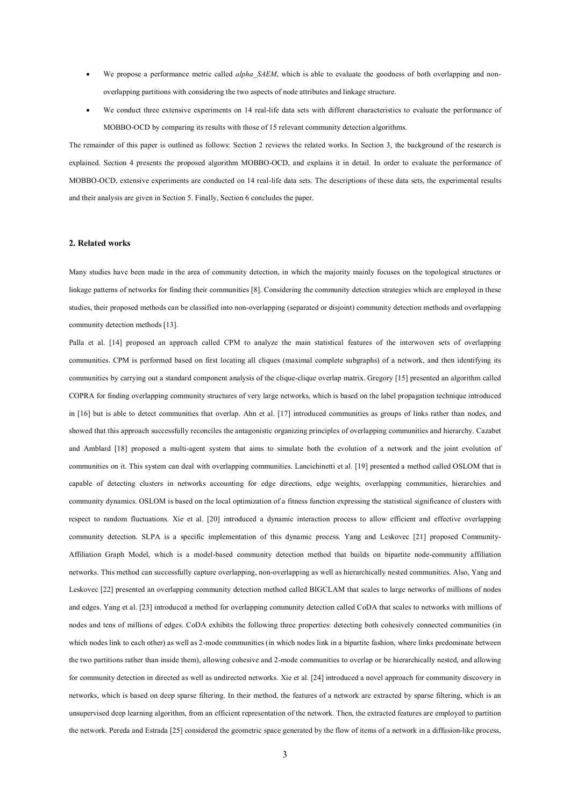- We propose a performance metric called *alpha\_SAEM*, which is able to evaluate the goodness of both overlapping and nonoverlapping partitions with considering the two aspects of node attributes and linkage structure.
- We conduct three extensive experiments on 14 real-life data sets with different characteristics to evaluate the performance of MOBBO-OCD by comparing its results with those of 15 relevant community detection algorithms.

The remainder of this paper is outlined as follows: Section 2 reviews the related works. In Section 3, the background of the research is explained. Section 4 presents the proposed algorithm MOBBO-OCD, and explains it in detail. In order to evaluate the performance of MOBBO-OCD, extensive experiments are conducted on 14 real-life data sets. The descriptions of these data sets, the experimental results and their analysis are given in Section 5. Finally, Section 6 concludes the paper.

### **2. Related works**

Many studies have been made in the area of community detection, in which the majority mainly focuses on the topological structures or linkage patterns of networks for finding their communities [8]. Considering the community detection strategies which are employed in these studies, their proposed methods can be classified into non-overlapping (separated or disjoint) community detection methods and overlapping community detection methods [13].

Palla et al. [14] proposed an approach called CPM to analyze the main statistical features of the interwoven sets of overlapping communities. CPM is performed based on first locating all cliques (maximal complete subgraphs) of a network, and then identifying its communities by carrying out a standard component analysis of the clique-clique overlap matrix. Gregory [15] presented an algorithm called COPRA for finding overlapping community structures of very large networks, which is based on the label propagation technique introduced in [16] but is able to detect communities that overlap. Ahn et al. [17] introduced communities as groups of links rather than nodes, and showed that this approach successfully reconciles the antagonistic organizing principles of overlapping communities and hierarchy. Cazabet and Amblard [18] proposed a multi-agent system that aims to simulate both the evolution of a network and the joint evolution of communities on it. This system can deal with overlapping communities. Lancichinetti et al. [19] presented a method called OSLOM that is capable of detecting clusters in networks accounting for edge directions, edge weights, overlapping communities, hierarchies and community dynamics. OSLOM is based on the local optimization of a fitness function expressing the statistical significance of clusters with respect to random fluctuations. Xie et al. [20] introduced a dynamic interaction process to allow efficient and effective overlapping community detection. SLPA is a specific implementation of this dynamic process. Yang and Leskovec [21] proposed Community-Affiliation Graph Model, which is a model-based community detection method that builds on bipartite node-community affiliation networks. This method can successfully capture overlapping, non-overlapping as well as hierarchically nested communities. Also, Yang and Leskovec [22] presented an overlapping community detection method called BIGCLAM that scales to large networks of millions of nodes and edges. Yang et al. [23] introduced a method for overlapping community detection called CoDA that scales to networks with millions of nodes and tens of millions of edges. CoDA exhibits the following three properties: detecting both cohesively connected communities (in which nodes link to each other) as well as 2-mode communities (in which nodes link in a bipartite fashion, where links predominate between the two partitions rather than inside them), allowing cohesive and 2-mode communities to overlap or be hierarchically nested, and allowing for community detection in directed as well as undirected networks. Xie et al. [24] introduced a novel approach for community discovery in networks, which is based on deep sparse filtering. In their method, the features of a network are extracted by sparse filtering, which is an unsupervised deep learning algorithm, from an efficient representation of the network. Then, the extracted features are employed to partition the network. Pereda and Estrada [25] considered the geometric space generated by the flow of items of a network in a diffusion-like process,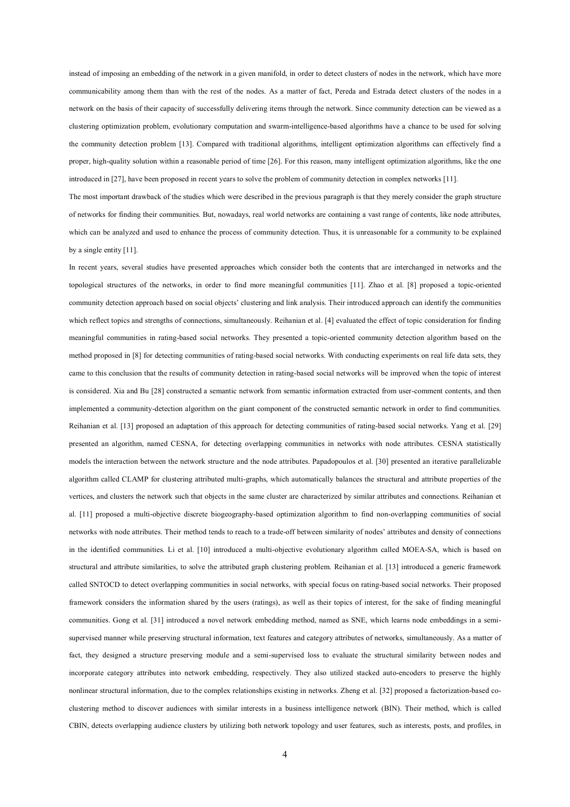instead of imposing an embedding of the network in a given manifold, in order to detect clusters of nodes in the network, which have more communicability among them than with the rest of the nodes. As a matter of fact, Pereda and Estrada detect clusters of the nodes in a network on the basis of their capacity of successfully delivering items through the network. Since community detection can be viewed as a clustering optimization problem, evolutionary computation and swarm-intelligence-based algorithms have a chance to be used for solving the community detection problem [13]. Compared with traditional algorithms, intelligent optimization algorithms can effectively find a proper, high-quality solution within a reasonable period of time [26]. For this reason, many intelligent optimization algorithms, like the one introduced in [27], have been proposed in recent years to solve the problem of community detection in complex networks [11].

The most important drawback of the studies which were described in the previous paragraph is that they merely consider the graph structure of networks for finding their communities. But, nowadays, real world networks are containing a vast range of contents, like node attributes, which can be analyzed and used to enhance the process of community detection. Thus, it is unreasonable for a community to be explained by a single entity [11].

In recent years, several studies have presented approaches which consider both the contents that are interchanged in networks and the topological structures of the networks, in order to find more meaningful communities [11]. Zhao et al. [8] proposed a topic-oriented community detection approach based on social objects' clustering and link analysis. Their introduced approach can identify the communities which reflect topics and strengths of connections, simultaneously. Reihanian et al. [4] evaluated the effect of topic consideration for finding meaningful communities in rating-based social networks. They presented a topic-oriented community detection algorithm based on the method proposed in [8] for detecting communities of rating-based social networks. With conducting experiments on real life data sets, they came to this conclusion that the results of community detection in rating-based social networks will be improved when the topic of interest is considered. Xia and Bu [28] constructed a semantic network from semantic information extracted from user-comment contents, and then implemented a community-detection algorithm on the giant component of the constructed semantic network in order to find communities. Reihanian et al. [13] proposed an adaptation of this approach for detecting communities of rating-based social networks. Yang et al. [29] presented an algorithm, named CESNA, for detecting overlapping communities in networks with node attributes. CESNA statistically models the interaction between the network structure and the node attributes. Papadopoulos et al. [30] presented an iterative parallelizable algorithm called CLAMP for clustering attributed multi-graphs, which automatically balances the structural and attribute properties of the vertices, and clusters the network such that objects in the same cluster are characterized by similar attributes and connections. Reihanian et al. [11] proposed a multi-objective discrete biogeography-based optimization algorithm to find non-overlapping communities of social networks with node attributes. Their method tends to reach to a trade-off between similarity of nodes' attributes and density of connections in the identified communities. Li et al. [10] introduced a multi-objective evolutionary algorithm called MOEA-SA, which is based on structural and attribute similarities, to solve the attributed graph clustering problem. Reihanian et al. [13] introduced a generic framework called SNTOCD to detect overlapping communities in social networks, with special focus on rating-based social networks. Their proposed framework considers the information shared by the users (ratings), as well as their topics of interest, for the sake of finding meaningful communities. Gong et al. [31] introduced a novel network embedding method, named as SNE, which learns node embeddings in a semisupervised manner while preserving structural information, text features and category attributes of networks, simultaneously. As a matter of fact, they designed a structure preserving module and a semi-supervised loss to evaluate the structural similarity between nodes and incorporate category attributes into network embedding, respectively. They also utilized stacked auto-encoders to preserve the highly nonlinear structural information, due to the complex relationships existing in networks. Zheng et al. [32] proposed a factorization-based coclustering method to discover audiences with similar interests in a business intelligence network (BIN). Their method, which is called CBIN, detects overlapping audience clusters by utilizing both network topology and user features, such as interests, posts, and profiles, in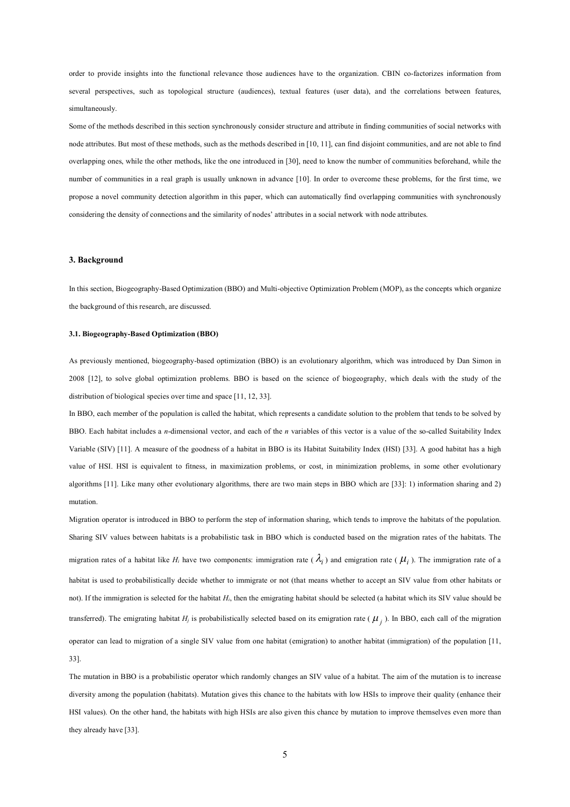order to provide insights into the functional relevance those audiences have to the organization. CBIN co-factorizes information from several perspectives, such as topological structure (audiences), textual features (user data), and the correlations between features, simultaneously.

Some of the methods described in this section synchronously consider structure and attribute in finding communities of social networks with node attributes. But most of these methods, such as the methods described in [10, 11], can find disjoint communities, and are not able to find overlapping ones, while the other methods, like the one introduced in [30], need to know the number of communities beforehand, while the number of communities in a real graph is usually unknown in advance [10]. In order to overcome these problems, for the first time, we propose a novel community detection algorithm in this paper, which can automatically find overlapping communities with synchronously considering the density of connections and the similarity of nodes' attributes in a social network with node attributes.

#### **3. Background**

In this section, Biogeography-Based Optimization (BBO) and Multi-objective Optimization Problem (MOP), as the concepts which organize the background of this research, are discussed.

### **3.1. Biogeography-Based Optimization (BBO)**

As previously mentioned, biogeography-based optimization (BBO) is an evolutionary algorithm, which was introduced by Dan Simon in 2008 [12], to solve global optimization problems. BBO is based on the science of biogeography, which deals with the study of the distribution of biological species over time and space [11, 12, 33].

In BBO, each member of the population is called the habitat, which represents a candidate solution to the problem that tends to be solved by BBO. Each habitat includes a *n*-dimensional vector, and each of the *n* variables of this vector is a value of the so-called Suitability Index Variable (SIV) [11]. A measure of the goodness of a habitat in BBO is its Habitat Suitability Index (HSI) [33]. A good habitat has a high value of HSI. HSI is equivalent to fitness, in maximization problems, or cost, in minimization problems, in some other evolutionary algorithms [11]. Like many other evolutionary algorithms, there are two main steps in BBO which are [33]: 1) information sharing and 2) mutation.

Migration operator is introduced in BBO to perform the step of information sharing, which tends to improve the habitats of the population. Sharing SIV values between habitats is a probabilistic task in BBO which is conducted based on the migration rates of the habitats. The migration rates of a habitat like  $H_i$  have two components: immigration rate ( $\lambda_i$ ) and emigration rate ( $\mu_i$ ). The immigration rate of a habitat is used to probabilistically decide whether to immigrate or not (that means whether to accept an SIV value from other habitats or not). If the immigration is selected for the habitat *Hi*, then the emigrating habitat should be selected (a habitat which its SIV value should be transferred). The emigrating habitat *H<sup>j</sup>* is probabilistically selected based on its emigration rate ( *<sup>j</sup>* ). In BBO, each call of the migration operator can lead to migration of a single SIV value from one habitat (emigration) to another habitat (immigration) of the population [11, 33].

The mutation in BBO is a probabilistic operator which randomly changes an SIV value of a habitat. The aim of the mutation is to increase diversity among the population (habitats). Mutation gives this chance to the habitats with low HSIs to improve their quality (enhance their HSI values). On the other hand, the habitats with high HSIs are also given this chance by mutation to improve themselves even more than they already have [33].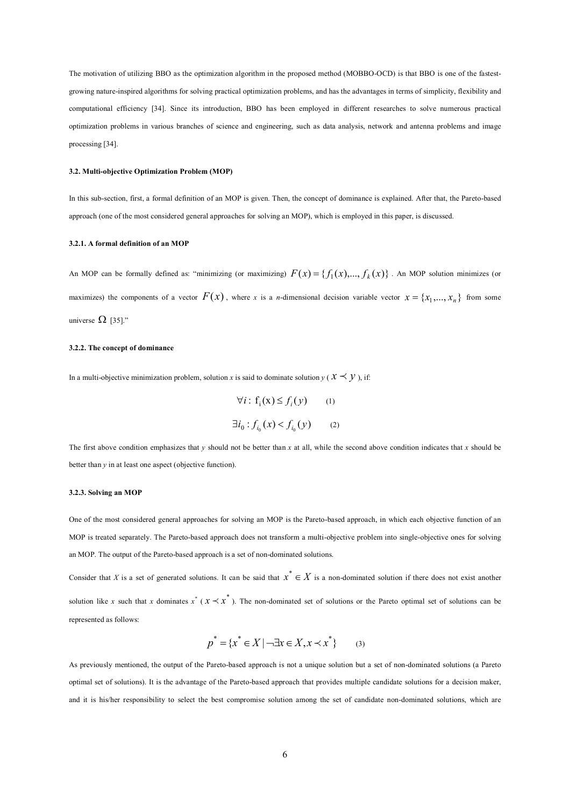The motivation of utilizing BBO as the optimization algorithm in the proposed method (MOBBO-OCD) is that BBO is one of the fastestgrowing nature-inspired algorithms for solving practical optimization problems, and has the advantages in terms of simplicity, flexibility and computational efficiency [34]. Since its introduction, BBO has been employed in different researches to solve numerous practical optimization problems in various branches of science and engineering, such as data analysis, network and antenna problems and image processing [34].

#### **3.2. Multi-objective Optimization Problem (MOP)**

In this sub-section, first, a formal definition of an MOP is given. Then, the concept of dominance is explained. After that, the Pareto-based approach (one of the most considered general approaches for solving an MOP), which is employed in this paper, is discussed.

### **3.2.1. A formal definition of an MOP**

An MOP can be formally defined as: "minimizing (or maximizing)  $F(x) = \{f_1(x),..., f_k(x)\}\.$  An MOP solution minimizes (or maximizes) the components of a vector  $F(x)$ , where *x* is a *n*-dimensional decision variable vector  $x = \{x_1, ..., x_n\}$  from some universe  $\Omega$  [35]."

#### **3.2.2. The concept of dominance**

In a multi-objective minimization problem, solution *x* is said to dominate solution  $y$  ( $x \prec y$ ), if:

$$
\forall i: f_i(\mathbf{x}) \le f_i(y) \qquad (1)
$$
  

$$
\exists i_0: f_{i_0}(\mathbf{x}) < f_{i_0}(y) \qquad (2)
$$

The first above condition emphasizes that  $\gamma$  should not be better than  $x$  at all, while the second above condition indicates that  $x$  should be better than *y* in at least one aspect (objective function).

#### **3.2.3. Solving an MOP**

One of the most considered general approaches for solving an MOP is the Pareto-based approach, in which each objective function of an MOP is treated separately. The Pareto-based approach does not transform a multi-objective problem into single-objective ones for solving an MOP. The output of the Pareto-based approach is a set of non-dominated solutions.

Consider that *X* is a set of generated solutions. It can be said that  $x^* \in X$  is a non-dominated solution if there does not exist another solution like *x* such that *x* dominates  $x^*$  ( $x \prec x^*$ ). The non-dominated set of solutions or the Pareto optimal set of solutions can be represented as follows:

$$
p^* = \{x^* \in X \mid \neg \exists x \in X, x \prec x^* \} \qquad (3)
$$

As previously mentioned, the output of the Pareto-based approach is not a unique solution but a set of non-dominated solutions (a Pareto optimal set of solutions). It is the advantage of the Pareto-based approach that provides multiple candidate solutions for a decision maker, and it is his/her responsibility to select the best compromise solution among the set of candidate non-dominated solutions, which are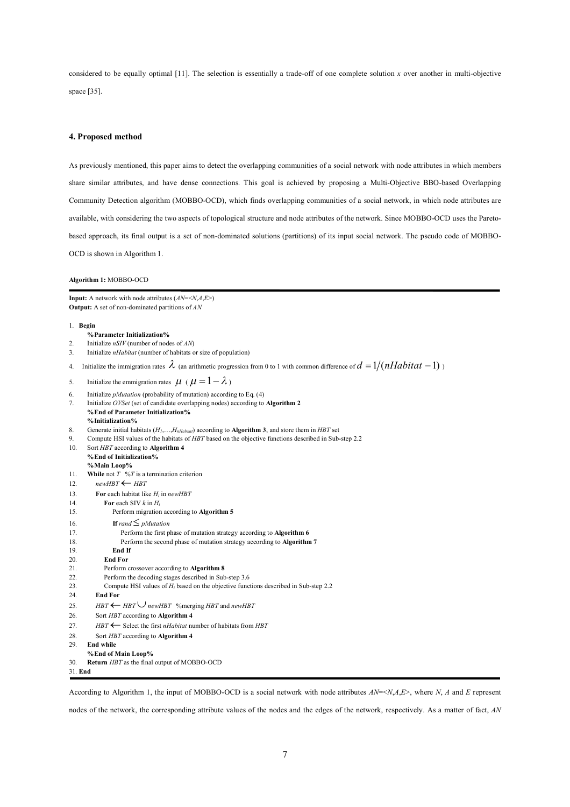considered to be equally optimal  $[11]$ . The selection is essentially a trade-off of one complete solution *x* over another in multi-objective space [35].

### **4. Proposed method**

As previously mentioned, this paper aims to detect the overlapping communities of a social network with node attributes in which members share similar attributes, and have dense connections. This goal is achieved by proposing a Multi-Objective BBO-based Overlapping Community Detection algorithm (MOBBO-OCD), which finds overlapping communities of a social network, in which node attributes are available, with considering the two aspects of topological structure and node attributes of the network. Since MOBBO-OCD uses the Paretobased approach, its final output is a set of non-dominated solutions (partitions) of its input social network. The pseudo code of MOBBO-OCD is shown in Algorithm 1.

#### **Algorithm 1:** MOBBO-OCD

**Input:** A network with node attributes (*AN*=<*N*,*A*,*E*>) **Output:** A set of non-dominated partitions of *AN*

#### 1. **Begin**

- **% Parameter Initialization%**<br>2 Initialize *nSIV* (number of node 2. Initialize *nSIV* (number of nodes of *AN*) 3. Initialize *nHabitat* (number of habitats or size of population) 4. Initialize the immigration rates  $\lambda$  (an arithmetic progression from 0 to 1 with common difference of  $d = 1/(nHabitat - 1)$ ) 5. Initialize the emmigration rates  $\mu$  ( $\mu = 1 - \lambda$ ) 6. Initialize *pMutation* (probability of mutation) according to Eq. (4) 7. Initialize *OVSet* (set of candidate overlapping nodes) according to **Algorithm 2 %End of Parameter Initialization% %Initialization%** 8. Generate initial habitats (*H1*,…,*HnHabitat*) according to **Algorithm 3**, and store them in *HBT* set 9. Compute HSI values of the habitats of *HBT* based on the objective functions described in Sub-step 2.2 10. Sort *HBT* according to **Algorithm 4 %End of Initialization% %Main Loop%**<br>11. **While** not  $T \frac{6}{7}$ **While** not  $T \sqrt[9]{t}$  is a termination criterion 12.  $newHBT \leftarrow HBT$
- 13. **For** each habitat like *H<sup>i</sup>* in *newHBT*
- 14. **For** each SIV *k* in *H<sup>i</sup>*
- 15. Perform migration according to **Algorithm 5**
- 16. **If**  $rand \leq p\text{Mutation}$ <br>17 **Perform the first n** 
	- 17. Perform the first phase of mutation strategy according to **Algorithm 6**
- 18. Perform the second phase of mutation strategy according to **Algorithm 7**
- 19. **End If**
- 20. **End For**
- 21. Perform crossover according to **Algorithm 8**
- 22. Perform the decoding stages described in Sub-step 3.6
- 23. Compute HSI values of  $H_i$  based on the objective functions described in Sub-step 2.2<br>24. **End For**
- End For
- 25. *HBT*  $\leftarrow$  *HBT*  $\cup$  *newHBT* % merging *HBT* and *newHBT*
- 26. Sort *HBT* according to **Algorithm 4**
- 27. *HBT*  $\leftarrow$  Select the first *nHabitat* number of habitats from *HBT*
- 28. Sort *HBT* according to **Algorithm 4**
- 29. **End while**
- **%End of Main Loop%**
- 30. **Return** *HBT* as the final output of MOBBO-OCD

31. **End**

According to Algorithm 1, the input of MOBBO-OCD is a social network with node attributes *AN*=<*N*,*A*,*E*>, where *N*, *A* and *E* represent

nodes of the network, the corresponding attribute values of the nodes and the edges of the network, respectively. As a matter of fact, *AN*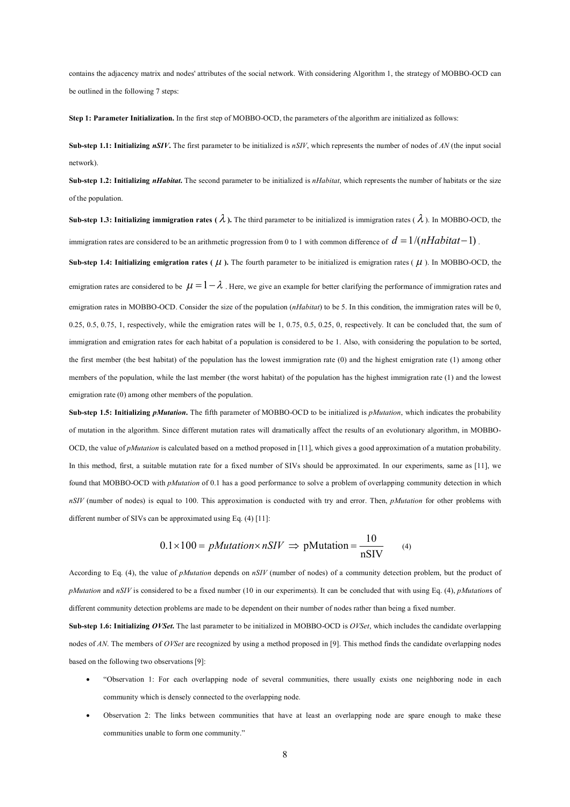contains the adjacency matrix and nodes' attributes of the social network. With considering Algorithm 1, the strategy of MOBBO-OCD can be outlined in the following 7 steps:

**Step 1: Parameter Initialization.** In the first step of MOBBO-OCD, the parameters of the algorithm are initialized as follows:

**Sub-step 1.1: Initializing** *nSIV***.** The first parameter to be initialized is *nSIV*, which represents the number of nodes of *AN* (the input social network).

**Sub-step 1.2: Initializing** *nHabitat***.** The second parameter to be initialized is *nHabitat*, which represents the number of habitats or the size of the population.

**Sub-step 1.3: Initializing immigration rates (** $\lambda$ **).** The third parameter to be initialized is immigration rates ( $\lambda$ ). In MOBBO-OCD, the immigration rates are considered to be an arithmetic progression from 0 to 1 with common difference of  $d = 1/(nHabitat-1)$ .

**Sub-step 1.4: Initializing emigration rates (** $\mu$ **).** The fourth parameter to be initialized is emigration rates ( $\mu$ ). In MOBBO-OCD, the emigration rates are considered to be  $\mu = 1 - \lambda$ . Here, we give an example for better clarifying the performance of immigration rates and emigration rates in MOBBO-OCD. Consider the size of the population (*nHabitat*) to be 5. In this condition, the immigration rates will be 0, 0.25, 0.5, 0.75, 1, respectively, while the emigration rates will be  $1, 0.75, 0.5, 0.25, 0$ , respectively. It can be concluded that, the sum of immigration and emigration rates for each habitat of a population is considered to be 1. Also, with considering the population to be sorted, the first member (the best habitat) of the population has the lowest immigration rate (0) and the highest emigration rate (1) among other members of the population, while the last member (the worst habitat) of the population has the highest immigration rate (1) and the lowest emigration rate (0) among other members of the population.

**Sub-step 1.5: Initializing** *pMutation***.** The fifth parameter of MOBBO-OCD to be initialized is *pMutation*, which indicates the probability of mutation in the algorithm. Since different mutation rates will dramatically affect the results of an evolutionary algorithm, in MOBBO-OCD, the value of *pMutation* is calculated based on a method proposed in [11], which gives a good approximation of a mutation probability. In this method, first, a suitable mutation rate for a fixed number of SIVs should be approximated. In our experiments, same as [11], we found that MOBBO-OCD with *pMutation* of 0.1 has a good performance to solve a problem of overlapping community detection in which *nSIV* (number of nodes) is equal to 100. This approximation is conducted with try and error. Then, *pMutation* for other problems with different number of SIVs can be approximated using Eq. (4) [11]:

$$
0.1 \times 100 = p\text{Mutation} \times nSIV \implies \text{pMutation} = \frac{10}{nSIV} \tag{4}
$$

According to Eq. (4), the value of *pMutation* depends on *nSIV* (number of nodes) of a community detection problem, but the product of *pMutation* and *nSIV* is considered to be a fixed number (10 in our experiments). It can be concluded that with using Eq. (4), *pMutation*s of different community detection problems are made to be dependent on their number of nodes rather than being a fixed number.

**Sub-step 1.6: Initializing** *OVSet*. The last parameter to be initialized in MOBBO-OCD is *OVSet*, which includes the candidate overlapping nodes of *AN*. The members of *OVSet* are recognized by using a method proposed in [9]. This method finds the candidate overlapping nodes based on the following two observations [9]:

- "Observation 1: For each overlapping node of several communities, there usually exists one neighboring node in each community which is densely connected to the overlapping node.
- Observation 2: The links between communities that have at least an overlapping node are spare enough to make these communities unable to form one community."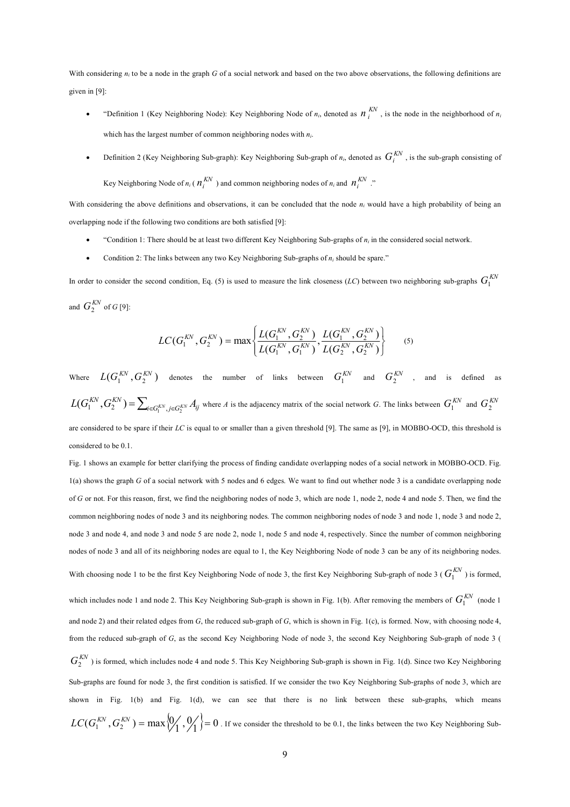With considering  $n_i$  to be a node in the graph *G* of a social network and based on the two above observations, the following definitions are given in [9]:

- "Definition 1 (Key Neighboring Node): Key Neighboring Node of  $n_i$ , denoted as  $n_i^{KN}$ , is the node in the neighborhood of  $n_i$ which has the largest number of common neighboring nodes with *ni*.
- **•** Definition 2 (Key Neighboring Sub-graph): Key Neighboring Sub-graph of  $n_i$ , denoted as  $G_i^{KN}$ , is the sub-graph consisting of

Key Neighboring Node of  $n_i$  ( $n_i^{KN}$ ) and common neighboring nodes of  $n_i$  and  $n_i^{KN}$ ."

With considering the above definitions and observations, it can be concluded that the node  $n_i$  would have a high probability of being an overlapping node if the following two conditions are both satisfied [9]:

- "Condition 1: There should be at least two different Key Neighboring Sub-graphs of *n<sup>i</sup>* in the considered social network.
- Condition 2: The links between any two Key Neighboring Sub-graphs of *n<sup>i</sup>* should be spare."

In order to consider the second condition, Eq. (5) is used to measure the link closeness (*LC*) between two neighboring sub-graphs  $G_1^{KN}$ and  $G_2^{KN}$  of  $G$  [9]:

$$
LC(G_1^{KN}, G_2^{KN}) = \max\left\{\frac{L(G_1^{KN}, G_2^{KN})}{L(G_1^{KN}, G_1^{KN})}, \frac{L(G_1^{KN}, G_2^{KN})}{L(G_2^{KN}, G_2^{KN})}\right\}
$$
(5)

Where  $L(G_1^{KN}, G_2^{KN})$  denotes the number of links between  $G_1^{KN}$  and  $G_2^{KN}$  , and is defined as  $L(G_1^{KN}, G_2^{KN}) = \sum_{i \in G_1^{KN}, j \in G_2^{KN}} A_{ij}$  where A is the adjacency matrix of the social network G. The links between  $G_1^{KN}$  and  $G_2^{KN}$ are considered to be spare if their *LC* is equal to or smaller than a given threshold [9]. The same as [9], in MOBBO-OCD, this threshold is considered to be 0.1.

Fig. 1 shows an example for better clarifying the process of finding candidate overlapping nodes of a social network in MOBBO-OCD. Fig. 1(a) shows the graph *G* of a social network with 5 nodes and 6 edges. We want to find out whether node 3 is a candidate overlapping node of *G* or not. For this reason, first, we find the neighboring nodes of node 3, which are node 1, node 2, node 4 and node 5. Then, we find the common neighboring nodes of node 3 and its neighboring nodes. The common neighboring nodes of node 3 and node 1, node 3 and node 2, node 3 and node 4, and node 3 and node 5 are node 2, node 1, node 5 and node 4, respectively. Since the number of common neighboring nodes of node 3 and all of its neighboring nodes are equal to 1, the Key Neighboring Node of node 3 can be any of its neighboring nodes. With choosing node 1 to be the first Key Neighboring Node of node 3, the first Key Neighboring Sub-graph of node 3 ( $G_1^{KN}$ ) is formed, which includes node 1 and node 2. This Key Neighboring Sub-graph is shown in Fig. 1(b). After removing the members of  $G_1^{KN}$  (node 1 and node 2) and their related edges from *G*, the reduced sub-graph of *G*, which is shown in Fig. 1(c), is formed. Now, with choosing node 4, from the reduced sub-graph of *G*, as the second Key Neighboring Node of node 3, the second Key Neighboring Sub-graph of node 3 (  $G_2^{KN}$ ) is formed, which includes node 4 and node 5. This Key Neighboring Sub-graph is shown in Fig. 1(d). Since two Key Neighboring Sub-graphs are found for node 3, the first condition is satisfied. If we consider the two Key Neighboring Sub-graphs of node 3, which are shown in Fig. 1(b) and Fig. 1(d), we can see that there is no link between these sub-graphs, which means  $LC(G_1^{KN}, G_2^{KN}) = \max\{0, 0, 1\} = 0$  . If we consider the threshold to be 0.1, the links between the two Key Neighboring Sub-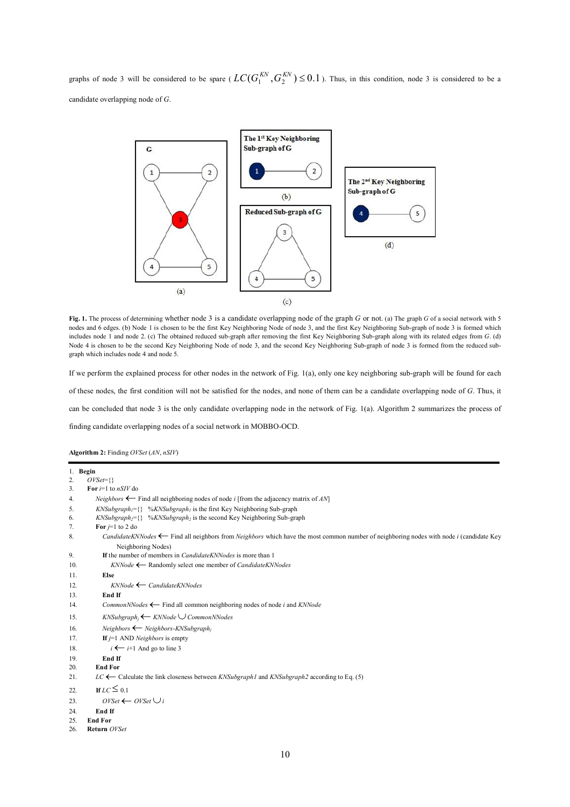graphs of node 3 will be considered to be spare ( $LC(G_1^{KN}, G_2^{KN}) \le 0.1$ ). Thus, in this condition, node 3 is considered to be a candidate overlapping node of *G*.



**Fig. 1.** The process of determining whether node 3 is a candidate overlapping node of the graph *G* or not. (a) The graph *G* of a social network with 5 nodes and 6 edges. (b) Node 1 is chosen to be the first Key Neighboring Node of node 3, and the first Key Neighboring Sub-graph of node 3 is formed which includes node 1 and node 2. (c) The obtained reduced sub-graph after removing the first Key Neighboring Sub-graph along with its related edges from *G*. (d) Node 4 is chosen to be the second Key Neighboring Node of node 3, and the second Key Neighboring Sub-graph of node 3 is formed from the reduced subgraph which includes node 4 and node 5.

If we perform the explained process for other nodes in the network of Fig. 1(a), only one key neighboring sub-graph will be found for each of these nodes, the first condition will not be satisfied for the nodes, and none of them can be a candidate overlapping node of *G*. Thus, it can be concluded that node 3 is the only candidate overlapping node in the network of Fig. 1(a). Algorithm 2 summarizes the process of

finding candidate overlapping nodes of a social network in MOBBO-OCD.

**Algorithm 2:** Finding *OVSet* (*AN*, *nSIV*)

```
1. Begin
2. OVSet=33. For i=1 to nSIV do
4. Neighbors \leftarrow Find all neighboring nodes of node i [from the adjacency matrix of AN]<br>5. KNSuberanh = \frac{1}{2} % KNSuberanh is the first Key Neighboring Sub-graph
        5. KNSubgraph1={} %KNSubgraph1 is the first Key Neighboring Sub-graph
6. KNSubgraph2={} %KNSubgraph2 is the second Key Neighboring Sub-graph
7. For j=1 to 2 do
8. CandidateKNNodes \leftarrow Find all neighbors from Neighbors which have the most common number of neighboring nodes with node i (candidate Key
               Neighboring Nodes)
9. If the number of members in CandidateKNNodes is more than 1
10. KNNode \leftarrow Randomly select one member of CandidateKNNodes
11. Else
12. KNNode CandidateKNNodes
13. End If
14. CommonNNodes \leftarrow Find all common neighboring nodes of node i and KNNode
15. KNSubgraphj KNNodeCommonNNodes
16. Neighbors  Neighbors-KNSubgraphj
17. If j=1 AND Neighbors is empty
18. i \leftarrow i+1 And go to line 3
19. End If
20. End For
21. LC Calculate the link closeness between KNSubgraph1 and KNSubgraph2 according to Eq. (5)
22. If LC \leq 0.123. OVSet \leftarrow OVSet \cup i
24. End If
25. End For
26. Return OVSet
```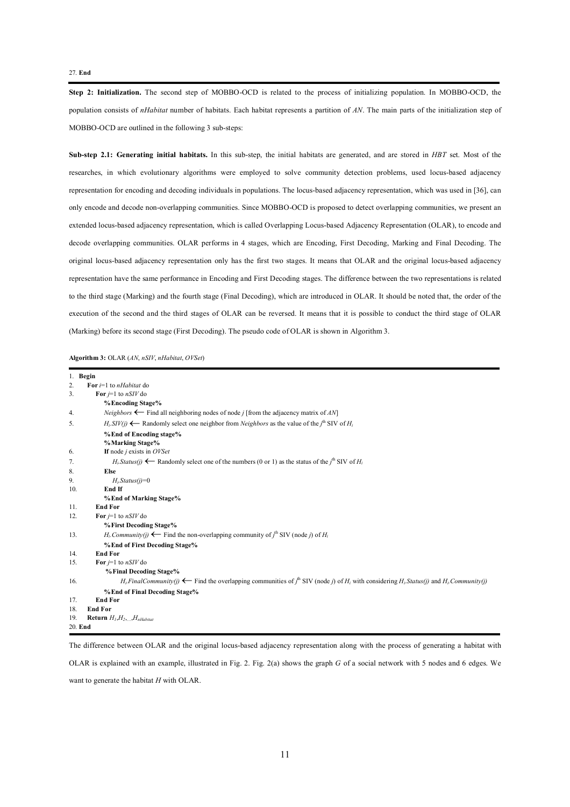### 27. **End**

**Step 2: Initialization.** The second step of MOBBO-OCD is related to the process of initializing population. In MOBBO-OCD, the population consists of *nHabitat* number of habitats. Each habitat represents a partition of *AN*. The main parts of the initialization step of MOBBO-OCD are outlined in the following 3 sub-steps:

**Sub-step 2.1: Generating initial habitats.** In this sub-step, the initial habitats are generated, and are stored in *HBT* set. Most of the researches, in which evolutionary algorithms were employed to solve community detection problems, used locus-based adjacency representation for encoding and decoding individuals in populations. The locus-based adjacency representation, which was used in [36], can only encode and decode non-overlapping communities. Since MOBBO-OCD is proposed to detect overlapping communities, we present an extended locus-based adjacency representation, which is called Overlapping Locus-based Adjacency Representation (OLAR), to encode and decode overlapping communities. OLAR performs in 4 stages, which are Encoding, First Decoding, Marking and Final Decoding. The original locus-based adjacency representation only has the first two stages. It means that OLAR and the original locus-based adjacency representation have the same performance in Encoding and First Decoding stages. The difference between the two representations is related to the third stage (Marking) and the fourth stage (Final Decoding), which are introduced in OLAR. It should be noted that, the order of the execution of the second and the third stages of OLAR can be reversed. It means that it is possible to conduct the third stage of OLAR (Marking) before its second stage (First Decoding). The pseudo code of OLAR is shown in Algorithm 3.

**Algorithm 3:** OLAR (*AN*, *nSIV*, *nHabitat*, *OVSet*)

| 1. Begin |                                                                                                                                                                               |
|----------|-------------------------------------------------------------------------------------------------------------------------------------------------------------------------------|
| 2.       | For $i=1$ to <i>nHabitat</i> do                                                                                                                                               |
| 3.       | For $j=1$ to $nS/V$ do                                                                                                                                                        |
|          | % Encoding Stage%                                                                                                                                                             |
| 4.       | <i>Neighbors</i> $\leftarrow$ Find all neighboring nodes of node <i>i</i> [from the adjacency matrix of AN]                                                                   |
| 5.       | $H_i$ . SIV(j) $\leftarrow$ Randomly select one neighbor from <i>Neighbors</i> as the value of the j <sup>th</sup> SIV of $H_i$                                               |
|          | % End of Encoding stage%                                                                                                                                                      |
|          | %Marking Stage%                                                                                                                                                               |
| 6.       | If node $j$ exists in $OVSet$                                                                                                                                                 |
| 7.       | $H_i$ . Status(i) $\leftarrow$ Randomly select one of the numbers (0 or 1) as the status of the j <sup>th</sup> SIV of $H_i$                                                  |
| 8.       | <b>Else</b>                                                                                                                                                                   |
| 9.       | $Hi$ Status(j)=0                                                                                                                                                              |
| 10.      | End If                                                                                                                                                                        |
|          | % End of Marking Stage%                                                                                                                                                       |
| 11.      | <b>End For</b>                                                                                                                                                                |
| 12.      | For $j=1$ to $nSIV$ do                                                                                                                                                        |
|          | % First Decoding Stage%                                                                                                                                                       |
| 13.      | $H_i$ . Community(j) $\leftarrow$ Find the non-overlapping community of $j^{\text{th}}$ SIV (node j) of $H_i$                                                                 |
|          | % End of First Decoding Stage%                                                                                                                                                |
| 14.      | <b>End For</b>                                                                                                                                                                |
| 15.      | For $i=1$ to $nSIV$ do                                                                                                                                                        |
|          | % Final Decoding Stage%                                                                                                                                                       |
| 16.      | $H_i$ . Final Community(j) $\leftarrow$ Find the overlapping communities of $j^{\text{th}}$ SIV (node j) of $H_i$ with considering $H_i$ . Status(j) and $H_i$ . Community(j) |
|          | % End of Final Decoding Stage%                                                                                                                                                |
| 17.      | <b>End For</b>                                                                                                                                                                |
| 18.      | <b>End For</b>                                                                                                                                                                |
| 19.      | <b>Return</b> $H_1, H_2, \ldots, H_n$ Habitat                                                                                                                                 |
| 20. End  |                                                                                                                                                                               |

The difference between OLAR and the original locus-based adjacency representation along with the process of generating a habitat with

OLAR is explained with an example, illustrated in Fig. 2. Fig. 2(a) shows the graph *G* of a social network with 5 nodes and 6 edges. We want to generate the habitat *H* with OLAR.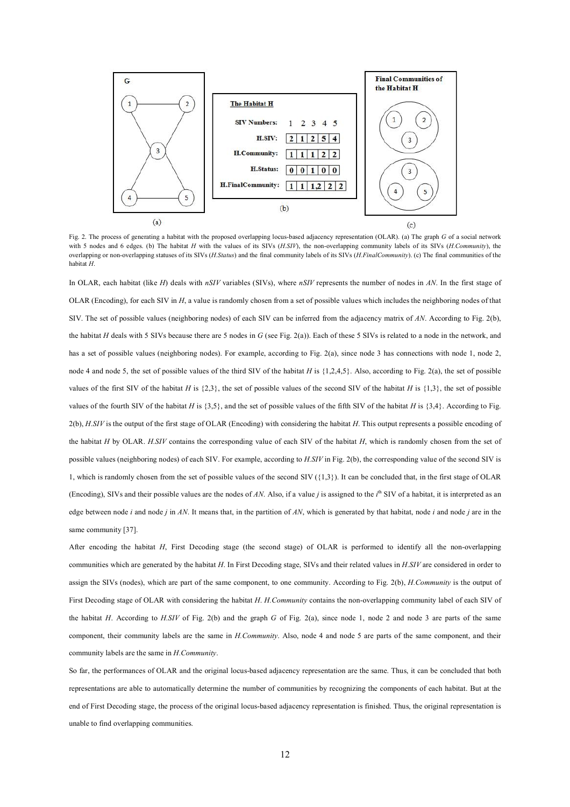

Fig. 2. The process of generating a habitat with the proposed overlapping locus-based adjacency representation (OLAR). (a) The graph *G* of a social network with 5 nodes and 6 edges. (b) The habitat *H* with the values of its SIVs (*H.SIV*), the non-overlapping community labels of its SIVs (*H.Community*), the overlapping or non-overlapping statuses of its SIVs (*H.Status*) and the final community labels of its SIVs (*H.FinalCommunity*). (c) The final communities of the habitat *H*.

In OLAR, each habitat (like *H*) deals with *nSIV* variables (SIVs), where *nSIV* represents the number of nodes in *AN*. In the first stage of OLAR (Encoding), for each SIV in *H*, a value is randomly chosen from a set of possible values which includes the neighboring nodes of that SIV. The set of possible values (neighboring nodes) of each SIV can be inferred from the adjacency matrix of *AN*. According to Fig. 2(b), the habitat *H* deals with 5 SIVs because there are 5 nodes in *G* (see Fig. 2(a)). Each of these 5 SIVs is related to a node in the network, and has a set of possible values (neighboring nodes). For example, according to Fig. 2(a), since node 3 has connections with node 1, node 2, node 4 and node 5, the set of possible values of the third SIV of the habitat *H* is {1,2,4,5}. Also, according to Fig. 2(a), the set of possible values of the first SIV of the habitat *H* is  $\{2,3\}$ , the set of possible values of the second SIV of the habitat *H* is  $\{1,3\}$ , the set of possible values of the fourth SIV of the habitat *H* is  $\{3,5\}$ , and the set of possible values of the fifth SIV of the habitat *H* is  $\{3,4\}$ . According to Fig. 2(b), *H.SIV* is the output of the first stage of OLAR (Encoding) with considering the habitat *H*. This output represents a possible encoding of the habitat *H* by OLAR. *H.SIV* contains the corresponding value of each SIV of the habitat *H*, which is randomly chosen from the set of possible values (neighboring nodes) of each SIV. For example, according to *H.SIV* in Fig. 2(b), the corresponding value of the second SIV is 1, which is randomly chosen from the set of possible values of the second SIV ({1,3}). It can be concluded that, in the first stage of OLAR (Encoding), SIVs and their possible values are the nodes of *AN*. Also, if a value *j* is assigned to the *i* th SIV of a habitat, it is interpreted as an edge between node *i* and node *j* in *AN*. It means that, in the partition of *AN*, which is generated by that habitat, node *i* and node *j* are in the same community [37].

After encoding the habitat *H*, First Decoding stage (the second stage) of OLAR is performed to identify all the non-overlapping communities which are generated by the habitat *H*. In First Decoding stage, SIVs and their related values in *H.SIV* are considered in order to assign the SIVs (nodes), which are part of the same component, to one community. According to Fig. 2(b), *H.Community* is the output of First Decoding stage of OLAR with considering the habitat *H*. *H.Community* contains the non-overlapping community label of each SIV of the habitat *H*. According to *H.SIV* of Fig. 2(b) and the graph *G* of Fig. 2(a), since node 1, node 2 and node 3 are parts of the same component, their community labels are the same in *H.Community*. Also, node 4 and node 5 are parts of the same component, and their community labels are the same in *H.Community*.

So far, the performances of OLAR and the original locus-based adjacency representation are the same. Thus, it can be concluded that both representations are able to automatically determine the number of communities by recognizing the components of each habitat. But at the end of First Decoding stage, the process of the original locus-based adjacency representation is finished. Thus, the original representation is unable to find overlapping communities.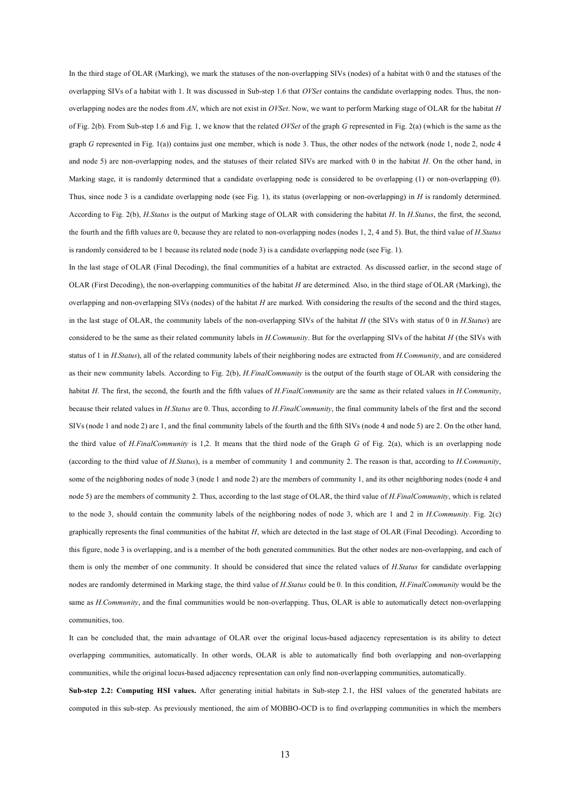In the third stage of OLAR (Marking), we mark the statuses of the non-overlapping SIVs (nodes) of a habitat with 0 and the statuses of the overlapping SIVs of a habitat with 1. It was discussed in Sub-step 1.6 that *OVSet* contains the candidate overlapping nodes. Thus, the nonoverlapping nodes are the nodes from *AN*, which are not exist in *OVSet*. Now, we want to perform Marking stage of OLAR for the habitat *H* of Fig. 2(b). From Sub-step 1.6 and Fig. 1, we know that the related *OVSet* of the graph *G* represented in Fig. 2(a) (which is the same as the graph *G* represented in Fig. 1(a)) contains just one member, which is node 3. Thus, the other nodes of the network (node 1, node 2, node 4 and node 5) are non-overlapping nodes, and the statuses of their related SIVs are marked with 0 in the habitat *H*. On the other hand, in Marking stage, it is randomly determined that a candidate overlapping node is considered to be overlapping (1) or non-overlapping (0). Thus, since node 3 is a candidate overlapping node (see Fig. 1), its status (overlapping or non-overlapping) in *H* is randomly determined. According to Fig. 2(b), *H.Status* is the output of Marking stage of OLAR with considering the habitat *H*. In *H.Status*, the first, the second, the fourth and the fifth values are 0, because they are related to non-overlapping nodes (nodes 1, 2, 4 and 5). But, the third value of *H.Status* is randomly considered to be 1 because its related node (node 3) is a candidate overlapping node (see Fig. 1).

In the last stage of OLAR (Final Decoding), the final communities of a habitat are extracted. As discussed earlier, in the second stage of OLAR (First Decoding), the non-overlapping communities of the habitat *H* are determined. Also, in the third stage of OLAR (Marking), the overlapping and non-overlapping SIVs (nodes) of the habitat *H* are marked. With considering the results of the second and the third stages, in the last stage of OLAR, the community labels of the non-overlapping SIVs of the habitat *H* (the SIVs with status of 0 in *H.Status*) are considered to be the same as their related community labels in *H.Community*. But for the overlapping SIVs of the habitat *H* (the SIVs with status of 1 in *H.Status*), all of the related community labels of their neighboring nodes are extracted from *H.Community*, and are considered as their new community labels. According to Fig. 2(b), *H.FinalCommunity* is the output of the fourth stage of OLAR with considering the habitat *H*. The first, the second, the fourth and the fifth values of *H.FinalCommunity* are the same as their related values in *H.Community*, because their related values in *H.Status* are 0. Thus, according to *H.FinalCommunity*, the final community labels of the first and the second SIVs (node 1 and node 2) are 1, and the final community labels of the fourth and the fifth SIVs (node 4 and node 5) are 2. On the other hand, the third value of *H.FinalCommunity* is 1,2. It means that the third node of the Graph *G* of Fig. 2(a), which is an overlapping node (according to the third value of *H.Status*), is a member of community 1 and community 2. The reason is that, according to *H.Community*, some of the neighboring nodes of node 3 (node 1 and node 2) are the members of community 1, and its other neighboring nodes (node 4 and node 5) are the members of community 2. Thus, according to the last stage of OLAR, the third value of *H.FinalCommunity*, which is related to the node 3, should contain the community labels of the neighboring nodes of node 3, which are 1 and 2 in *H.Community*. Fig. 2(c) graphically represents the final communities of the habitat *H*, which are detected in the last stage of OLAR (Final Decoding). According to this figure, node 3 is overlapping, and is a member of the both generated communities. But the other nodes are non-overlapping, and each of them is only the member of one community. It should be considered that since the related values of *H.Status* for candidate overlapping nodes are randomly determined in Marking stage, the third value of *H.Status* could be 0. In this condition, *H.FinalCommunity* would be the same as *H.Community*, and the final communities would be non-overlapping. Thus, OLAR is able to automatically detect non-overlapping communities, too.

It can be concluded that, the main advantage of OLAR over the original locus-based adjacency representation is its ability to detect overlapping communities, automatically. In other words, OLAR is able to automatically find both overlapping and non-overlapping communities, while the original locus-based adjacency representation can only find non-overlapping communities, automatically.

**Sub-step 2.2: Computing HSI values.** After generating initial habitats in Sub-step 2.1, the HSI values of the generated habitats are computed in this sub-step. As previously mentioned, the aim of MOBBO-OCD is to find overlapping communities in which the members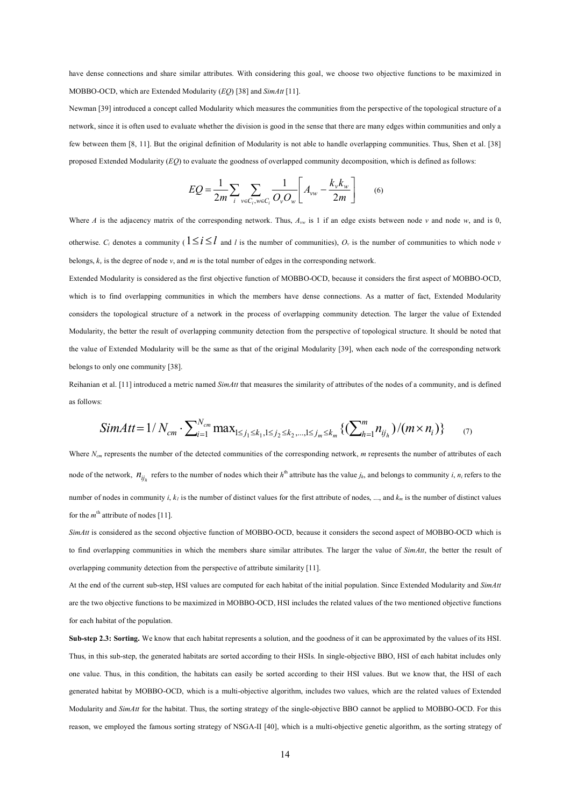have dense connections and share similar attributes. With considering this goal, we choose two objective functions to be maximized in MOBBO-OCD, which are Extended Modularity (*EQ*) [38] and *SimAtt* [11].

Newman [39] introduced a concept called Modularity which measures the communities from the perspective of the topological structure of a network, since it is often used to evaluate whether the division is good in the sense that there are many edges within communities and only a few between them [8, 11]. But the original definition of Modularity is not able to handle overlapping communities. Thus, Shen et al. [38] proposed Extended Modularity (*EQ*) to evaluate the goodness of overlapped community decomposition, which is defined as follows:

$$
EQ = \frac{1}{2m} \sum_{i} \sum_{v \in C_i, w \in C_i} \frac{1}{O_v O_w} \left[ A_{vw} - \frac{k_v k_w}{2m} \right] \tag{6}
$$

Where *A* is the adjacency matrix of the corresponding network. Thus,  $A_{vw}$  is 1 if an edge exists between node *v* and node *w*, and is 0, otherwise.  $C_i$  denotes a community ( $1 \le i \le l$  and *l* is the number of communities),  $O_v$  is the number of communities to which node *v* belongs,  $k<sub>v</sub>$  is the degree of node  $v$ , and *m* is the total number of edges in the corresponding network.

Extended Modularity is considered as the first objective function of MOBBO-OCD, because it considers the first aspect of MOBBO-OCD, which is to find overlapping communities in which the members have dense connections. As a matter of fact, Extended Modularity considers the topological structure of a network in the process of overlapping community detection. The larger the value of Extended Modularity, the better the result of overlapping community detection from the perspective of topological structure. It should be noted that the value of Extended Modularity will be the same as that of the original Modularity [39], when each node of the corresponding network belongs to only one community [38].

Reihanian et al. [11] introduced a metric named *SimAtt* that measures the similarity of attributes of the nodes of a community, and is defined as follows:

$$
SimAtt = 1/N_{cm} \cdot \sum_{i=1}^{N_{cm}} \max_{1 \le j_1 \le k_1, 1 \le j_2 \le k_2, \dots, 1 \le j_m \le k_m} \left\{ \left( \sum_{h=1}^{m} n_{ij_h} \right) / \left( m \times n_i \right) \right\} \tag{7}
$$

Where *N<sub>cm</sub>* represents the number of the detected communities of the corresponding network, *m* represents the number of attributes of each node of the network,  $n_{ij_h}$  refers to the number of nodes which their  $h^{\text{th}}$  attribute has the value  $j_h$ , and belongs to community *i*,  $n_i$  refers to the number of nodes in community *i*,  $k_l$  is the number of distinct values for the first attribute of nodes, ..., and  $k_m$  is the number of distinct values for the  $m<sup>th</sup>$  attribute of nodes [11].

*SimAtt* is considered as the second objective function of MOBBO-OCD, because it considers the second aspect of MOBBO-OCD which is to find overlapping communities in which the members share similar attributes. The larger the value of *SimAtt*, the better the result of overlapping community detection from the perspective of attribute similarity [11].

At the end of the current sub-step, HSI values are computed for each habitat of the initial population. Since Extended Modularity and *SimAtt* are the two objective functions to be maximized in MOBBO-OCD, HSI includes the related values of the two mentioned objective functions for each habitat of the population.

**Sub-step 2.3: Sorting.** We know that each habitat represents a solution, and the goodness of it can be approximated by the values of its HSI. Thus, in this sub-step, the generated habitats are sorted according to their HSIs. In single-objective BBO, HSI of each habitat includes only one value. Thus, in this condition, the habitats can easily be sorted according to their HSI values. But we know that, the HSI of each generated habitat by MOBBO-OCD, which is a multi-objective algorithm, includes two values, which are the related values of Extended Modularity and *SimAtt* for the habitat. Thus, the sorting strategy of the single-objective BBO cannot be applied to MOBBO-OCD. For this reason, we employed the famous sorting strategy of NSGA-II [40], which is a multi-objective genetic algorithm, as the sorting strategy of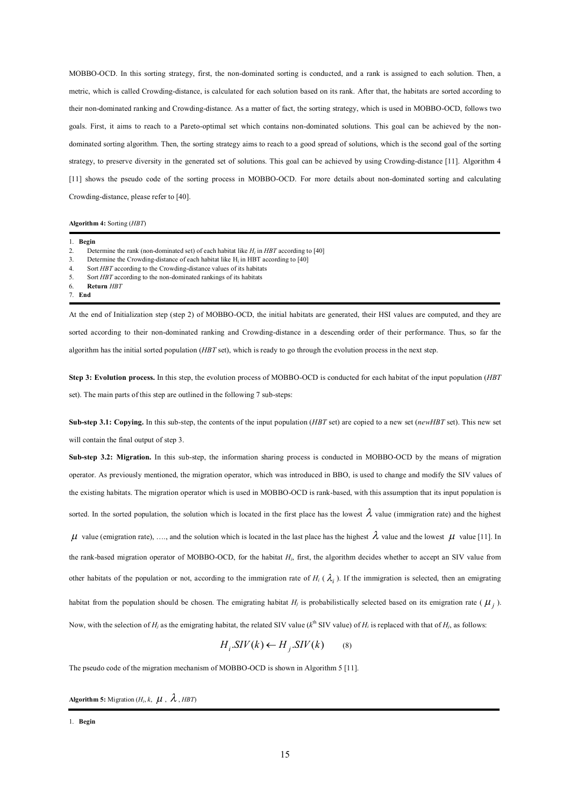MOBBO-OCD. In this sorting strategy, first, the non-dominated sorting is conducted, and a rank is assigned to each solution. Then, a metric, which is called Crowding-distance, is calculated for each solution based on its rank. After that, the habitats are sorted according to their non-dominated ranking and Crowding-distance. As a matter of fact, the sorting strategy, which is used in MOBBO-OCD, follows two goals. First, it aims to reach to a Pareto-optimal set which contains non-dominated solutions. This goal can be achieved by the nondominated sorting algorithm. Then, the sorting strategy aims to reach to a good spread of solutions, which is the second goal of the sorting strategy, to preserve diversity in the generated set of solutions. This goal can be achieved by using Crowding-distance [11]. Algorithm 4 [11] shows the pseudo code of the sorting process in MOBBO-OCD. For more details about non-dominated sorting and calculating Crowding-distance, please refer to [40].

**Algorithm 4:** Sorting (*HBT*)

|    | 1. Begin                                                                                                                                 |
|----|------------------------------------------------------------------------------------------------------------------------------------------|
| 2. | Determine the rank (non-dominated set) of each habitat like $H_i$ in HBT according to [40]                                               |
| 3. | Determine the Crowding-distance of each habitat like $H_i$ in HBT according to [40]                                                      |
| 4. | Sort <i>HBT</i> according to the Crowding-distance values of its habitats                                                                |
| 5. | Sort HBT according to the non-dominated rankings of its habitats                                                                         |
| 6. | Return HBT                                                                                                                               |
|    | 7. End                                                                                                                                   |
|    |                                                                                                                                          |
|    | At the end of Initialization step (step 2) of MOBBO-OCD, the initial habitats are generated, their HSI values are computed, and they are |

sorted according to their non-dominated ranking and Crowding-distance in a descending order of their performance. Thus, so far the algorithm has the initial sorted population (*HBT* set), which is ready to go through the evolution process in the next step.

**Step 3: Evolution process.** In this step, the evolution process of MOBBO-OCD is conducted for each habitat of the input population (*HBT* set). The main parts of this step are outlined in the following 7 sub-steps:

**Sub-step 3.1: Copying.** In this sub-step, the contents of the input population (*HBT* set) are copied to a new set (*newHBT* set). This new set will contain the final output of step 3.

**Sub-step 3.2: Migration.** In this sub-step, the information sharing process is conducted in MOBBO-OCD by the means of migration operator. As previously mentioned, the migration operator, which was introduced in BBO, is used to change and modify the SIV values of the existing habitats. The migration operator which is used in MOBBO-OCD is rank-based, with this assumption that its input population is sorted. In the sorted population, the solution which is located in the first place has the lowest  $\lambda$  value (immigration rate) and the highest  $\mu$  value (emigration rate), …., and the solution which is located in the last place has the highest  $\lambda$  value and the lowest  $\mu$  value [11]. In the rank-based migration operator of MOBBO-OCD, for the habitat *Hi*, first, the algorithm decides whether to accept an SIV value from other habitats of the population or not, according to the immigration rate of  $H_i$  ( $\lambda_i$ ). If the immigration is selected, then an emigrating habitat from the population should be chosen. The emigrating habitat  $H_j$  is probabilistically selected based on its emigration rate ( $\mu_j$ ). Now, with the selection of  $H_i$  as the emigrating habitat, the related SIV value ( $k^{\text{th}}$  SIV value) of  $H_i$  is replaced with that of  $H_i$ , as follows:

$$
H_i.SIV(k) \leftarrow H_j.SIV(k) \tag{8}
$$

The pseudo code of the migration mechanism of MOBBO-OCD is shown in Algorithm 5 [11].

**Algorithm 5:** Migration ( $H_i$ ,  $k$ ,  $\mu$ ,  $\lambda$ , *HBT*)

<sup>1.</sup> **Begin**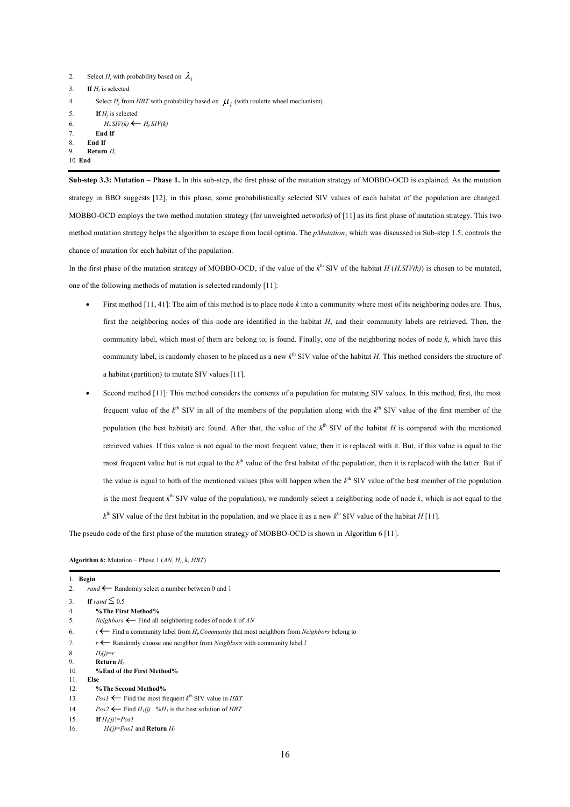```
2. Select H_i with probability based on \lambda_i3. If Hi is selected
4. Select H_j from HBT with probability based on \mu_i (with roulette wheel mechanism)
5. If H_i is selected
6. H_iSIV(k) \leftarrow H_iSIV(k)
7. End If
8. End If
9. Return Hi
10. End
```
**Sub-step 3.3: Mutation – Phase 1.** In this sub-step, the first phase of the mutation strategy of MOBBO-OCD is explained. As the mutation strategy in BBO suggests [12], in this phase, some probabilistically selected SIV values of each habitat of the population are changed. MOBBO-OCD employs the two method mutation strategy (for unweighted networks) of [11] as its first phase of mutation strategy. This two method mutation strategy helps the algorithm to escape from local optima. The *pMutation*, which was discussed in Sub-step 1.5, controls the chance of mutation for each habitat of the population.

In the first phase of the mutation strategy of MOBBO-OCD, if the value of the  $k^{\text{th}}$  SIV of the habitat  $H(H.SIV(k))$  is chosen to be mutated, one of the following methods of mutation is selected randomly [11]:

- First method [11, 41]: The aim of this method is to place node *k* into a community where most of its neighboring nodes are. Thus, first the neighboring nodes of this node are identified in the habitat *H*, and their community labels are retrieved. Then, the community label, which most of them are belong to, is found. Finally, one of the neighboring nodes of node *k*, which have this community label, is randomly chosen to be placed as a new  $k<sup>th</sup>$  SIV value of the habitat *H*. This method considers the structure of a habitat (partition) to mutate SIV values [11].
- Second method [11]: This method considers the contents of a population for mutating SIV values. In this method, first, the most frequent value of the  $k<sup>th</sup>$  SIV in all of the members of the population along with the  $k<sup>th</sup>$  SIV value of the first member of the population (the best habitat) are found. After that, the value of the  $k<sup>th</sup>$  SIV of the habitat *H* is compared with the mentioned retrieved values. If this value is not equal to the most frequent value, then it is replaced with it. But, if this value is equal to the most frequent value but is not equal to the  $k^{\text{th}}$  value of the first habitat of the population, then it is replaced with the latter. But if the value is equal to both of the mentioned values (this will happen when the  $k<sup>th</sup>$  SIV value of the best member of the population is the most frequent  $k^{\text{th}}$  SIV value of the population), we randomly select a neighboring node of node  $k$ , which is not equal to the  $k<sup>th</sup>$  SIV value of the first habitat in the population, and we place it as a new  $k<sup>th</sup>$  SIV value of the habitat *H* [11].

The pseudo code of the first phase of the mutation strategy of MOBBO-OCD is shown in Algorithm 6 [11].

**Algorithm 6:** Mutation – Phase 1 (*AN*, *Hi*, *k*, *HBT*)

| 1.  | Begin                                                                                                   |
|-----|---------------------------------------------------------------------------------------------------------|
| 2.  | rand $\leftarrow$ Randomly select a number between 0 and 1                                              |
| 3.  | If rand $\leq 0.5$                                                                                      |
| 4.  | % The First Method%                                                                                     |
| 5.  | <i>Neighbors</i> $\leftarrow$ Find all neighboring nodes of node k of AN                                |
| 6.  | $l \leftarrow$ Find a community label from $H_i$ Community that most neighbors from Neighbors belong to |
| 7.  | $r \leftarrow$ Randomly choose one neighbor from <i>Neighbors</i> with community label l                |
| 8.  | $H_i(i)=r$                                                                                              |
| 9.  | Return $H_i$                                                                                            |
| 10. | % End of the First Method%                                                                              |
| 11. | <b>Else</b>                                                                                             |
| 12. | % The Second Method%                                                                                    |
| 13. | $PosI \leftarrow$ Find the most frequent $k^{\text{th}}$ SIV value in <i>HBT</i>                        |
| 14. | $Pos2 \leftarrow$ Find $H_1(i)$ %H <sub>1</sub> is the best solution of HBT                             |
| 15. | If $H_i(i)$ != $Pos1$                                                                                   |
| 16. | $H_i(i) = Pos1$ and <b>Return</b> $H_i$                                                                 |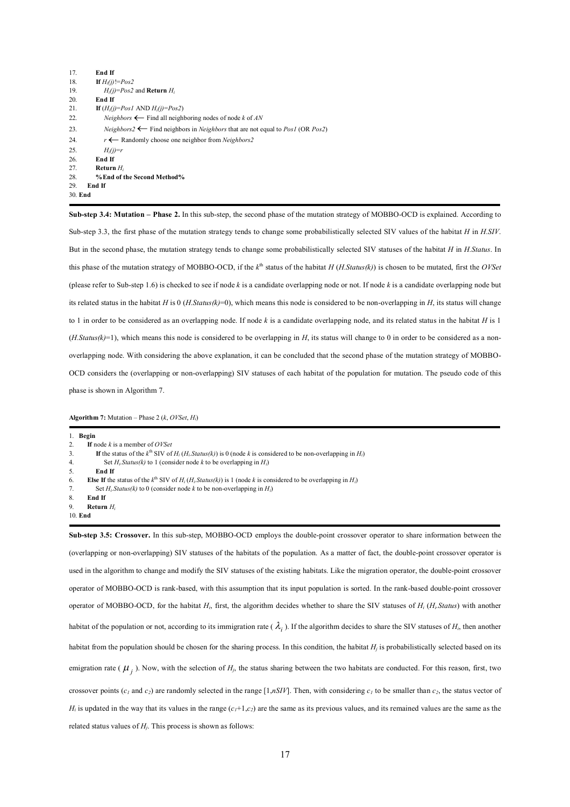| 17. | End If                                                                                                                 |
|-----|------------------------------------------------------------------------------------------------------------------------|
| 18. | If $H_i(i)$ != $Pos2$                                                                                                  |
| 19. | $H_i(i) = Pos2$ and <b>Return</b> $H_i$                                                                                |
| 20. | End If                                                                                                                 |
| 21. | If $(H_i(i)=Pos1$ AND $H_i(i)=Pos2$ )                                                                                  |
| 22. | <i>Neighbors</i> $\leftarrow$ Find all neighboring nodes of node k of AN                                               |
| 23. | <i>Neighbors</i> 2 $\leftarrow$ Find neighbors in <i>Neighbors</i> that are not equal to <i>Pos1</i> (OR <i>Pos2</i> ) |
| 24. | $r \leftarrow$ Randomly choose one neighbor from <i>Neighbors</i> 2                                                    |
| 25. | $H_i(i)=r$                                                                                                             |
| 26. | End If                                                                                                                 |
| 27. | Return $H_i$                                                                                                           |
| 28. | % End of the Second Method%                                                                                            |
| 29  | End If                                                                                                                 |
|     | 30. End                                                                                                                |

**Sub-step 3.4: Mutation – Phase 2.** In this sub-step, the second phase of the mutation strategy of MOBBO-OCD is explained. According to Sub-step 3.3, the first phase of the mutation strategy tends to change some probabilistically selected SIV values of the habitat *H* in *H.SIV*. But in the second phase, the mutation strategy tends to change some probabilistically selected SIV statuses of the habitat *H* in *H.Status*. In this phase of the mutation strategy of MOBBO-OCD, if the  $k^{\text{th}}$  status of the habitat  $H(H.Status(k))$  is chosen to be mutated, first the *OVSet* (please refer to Sub-step 1.6) is checked to see if node *k* is a candidate overlapping node or not. If node *k* is a candidate overlapping node but its related status in the habitat *H* is 0 (*H.Status(k)*=0), which means this node is considered to be non-overlapping in *H*, its status will change to 1 in order to be considered as an overlapping node. If node  $k$  is a candidate overlapping node, and its related status in the habitat  $H$  is 1  $(H. Status(k)=1)$ , which means this node is considered to be overlapping in *H*, its status will change to 0 in order to be considered as a nonoverlapping node. With considering the above explanation, it can be concluded that the second phase of the mutation strategy of MOBBO-OCD considers the (overlapping or non-overlapping) SIV statuses of each habitat of the population for mutation. The pseudo code of this phase is shown in Algorithm 7.

**Algorithm 7:** Mutation – Phase 2 (*k*, *OVSet*, *Hi*)

1. **Begin** 2. **If** node *k* is a member of *OVSet* 3. If the status of the  $k^{\text{th}}$  SIV of  $H_i(H_i \text{Status}(k))$  is 0 (node *k* is considered to be non-overlapping in  $H_i$ ) 4. Set *Hi.Status(k)* to 1 (consider node *k* to be overlapping in *Hi*) 5. **End If** 6. **Else If** the status of the  $k^{\text{th}}$  SIV of  $H_i(H_i \text{Status}(k))$  is 1 (node  $k$  is considered to be overlapping in  $H_i$ ) Set  $H_i$ *Status(k)* to 0 (consider node *k* to be non-overlapping in  $H_i$ ) 8. **End If** 9. **Return** *H<sup>i</sup>* 10. **End**

**Sub-step 3.5: Crossover.** In this sub-step, MOBBO-OCD employs the double-point crossover operator to share information between the (overlapping or non-overlapping) SIV statuses of the habitats of the population. As a matter of fact, the double-point crossover operator is used in the algorithm to change and modify the SIV statuses of the existing habitats. Like the migration operator, the double-point crossover operator of MOBBO-OCD is rank-based, with this assumption that its input population is sorted. In the rank-based double-point crossover operator of MOBBO-OCD, for the habitat *Hi*, first, the algorithm decides whether to share the SIV statuses of *H<sup>i</sup>* (*Hi.Status*) with another habitat of the population or not, according to its immigration rate ( $\lambda_i$ ). If the algorithm decides to share the SIV statuses of  $H_i$ , then another habitat from the population should be chosen for the sharing process. In this condition, the habitat  $H_i$  is probabilistically selected based on its emigration rate ( $\mu_j$ ). Now, with the selection of  $H_j$ , the status sharing between the two habitats are conducted. For this reason, first, two crossover points ( $c_1$  and  $c_2$ ) are randomly selected in the range [1,*nSIV*]. Then, with considering  $c_1$  to be smaller than  $c_2$ , the status vector of  $H_i$  is updated in the way that its values in the range  $(c_i+1,c_2)$  are the same as its previous values, and its remained values are the same as the related status values of  $H<sub>i</sub>$ . This process is shown as follows: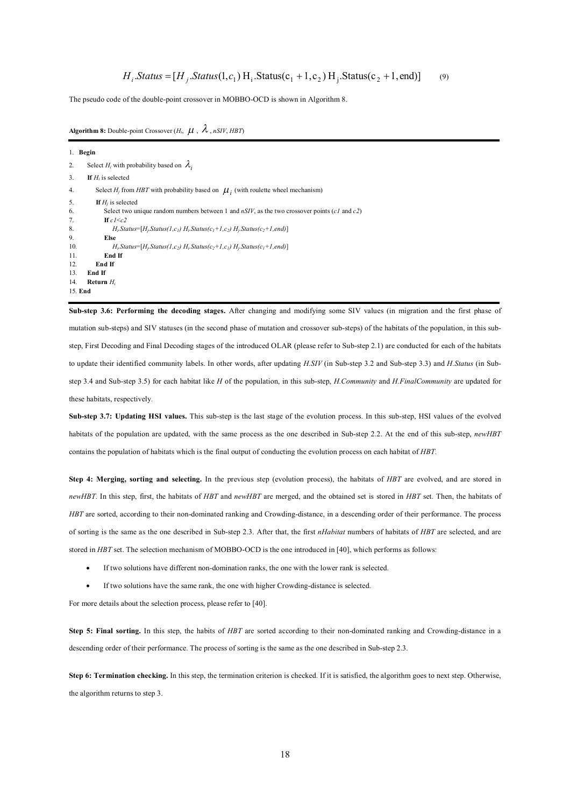The pseudo code of the double-point crossover in MOBBO-OCD is shown in Algorithm 8.

**Algorithm 8:** Double-point Crossover  $(H_i, \mu, \lambda, nSIV, HBT)$ 

1. **Begin** 2. Select  $H_i$  with probability based on  $\lambda_i$ 3. **If** *H<sup>i</sup>* is selected 4. Select  $H_j$  from HBT with probability based on  $\mu_i$  (with roulette wheel mechanism) 5. **If** *H<sup>j</sup>* is selected 6. Select two unique random numbers between 1 and *nSIV*, as the two crossover points (*c1* and *c2*) 7. **If** *c1*<*c2* 8.  $H_i$ *Status*= $[H_i$ *Status(1,c<sub>1</sub></sub>)*  $H_i$ *Status(c<sub>1</sub>+1,c<sub>2</sub>)*  $H_i$ *Status(c<sub>2</sub>+1,end)*] 9. **Else** 10. *Hi.Status*=[*Hj.Status(1,c2) Hi.Status(c2+1,c1) Hj.Status(c1+1,end)*] 11. **End If** 12. **End If** 13. **End If** 14. **Return** *H<sup>i</sup>* 15. **End**

**Sub-step 3.6: Performing the decoding stages.** After changing and modifying some SIV values (in migration and the first phase of mutation sub-steps) and SIV statuses (in the second phase of mutation and crossover sub-steps) of the habitats of the population, in this substep, First Decoding and Final Decoding stages of the introduced OLAR (please refer to Sub-step 2.1) are conducted for each of the habitats to update their identified community labels. In other words, after updating *H.SIV* (in Sub-step 3.2 and Sub-step 3.3) and *H.Status* (in Substep 3.4 and Sub-step 3.5) for each habitat like *H* of the population, in this sub-step, *H.Community* and *H.FinalCommunity* are updated for these habitats, respectively.

**Sub-step 3.7: Updating HSI values.** This sub-step is the last stage of the evolution process. In this sub-step, HSI values of the evolved habitats of the population are updated, with the same process as the one described in Sub-step 2.2. At the end of this sub-step, *newHBT* contains the population of habitats which is the final output of conducting the evolution process on each habitat of *HBT*.

**Step 4: Merging, sorting and selecting.** In the previous step (evolution process), the habitats of *HBT* are evolved, and are stored in *newHBT*. In this step, first, the habitats of *HBT* and *newHBT* are merged, and the obtained set is stored in *HBT* set. Then, the habitats of *HBT* are sorted, according to their non-dominated ranking and Crowding-distance, in a descending order of their performance. The process of sorting is the same as the one described in Sub-step 2.3. After that, the first *nHabitat* numbers of habitats of *HBT* are selected, and are stored in *HBT* set. The selection mechanism of MOBBO-OCD is the one introduced in [40], which performs as follows:

- If two solutions have different non-domination ranks, the one with the lower rank is selected.
- If two solutions have the same rank, the one with higher Crowding-distance is selected.

For more details about the selection process, please refer to [40].

**Step 5: Final sorting.** In this step, the habits of *HBT* are sorted according to their non-dominated ranking and Crowding-distance in a descending order of their performance. The process of sorting is the same as the one described in Sub-step 2.3.

**Step 6: Termination checking.** In this step, the termination criterion is checked. If it is satisfied, the algorithm goes to next step. Otherwise, the algorithm returns to step 3.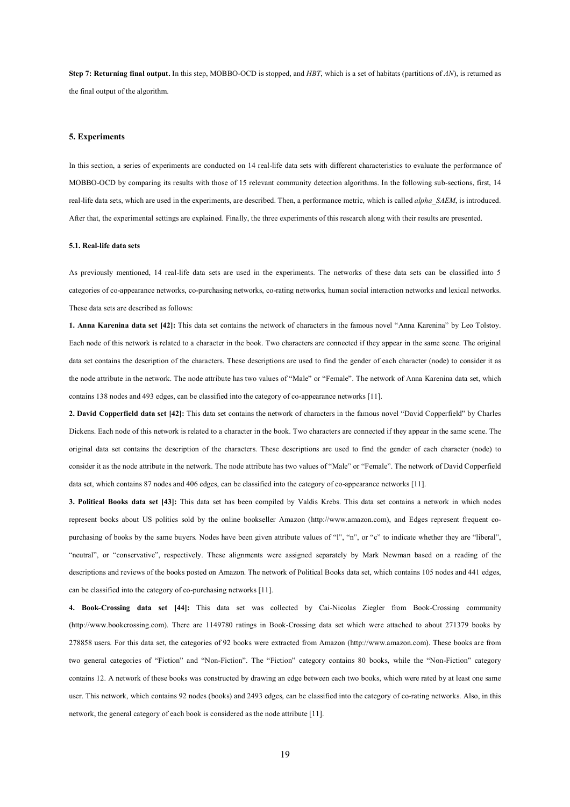**Step 7: Returning final output.** In this step, MOBBO-OCD is stopped, and *HBT*, which is a set of habitats (partitions of *AN*), is returned as the final output of the algorithm.

#### **5. Experiments**

In this section, a series of experiments are conducted on 14 real-life data sets with different characteristics to evaluate the performance of MOBBO-OCD by comparing its results with those of 15 relevant community detection algorithms. In the following sub-sections, first, 14 real-life data sets, which are used in the experiments, are described. Then, a performance metric, which is called *alpha\_SAEM*, is introduced. After that, the experimental settings are explained. Finally, the three experiments of this research along with their results are presented.

### **5.1. Real-life data sets**

As previously mentioned, 14 real-life data sets are used in the experiments. The networks of these data sets can be classified into 5 categories of co-appearance networks, co-purchasing networks, co-rating networks, human social interaction networks and lexical networks. These data sets are described as follows:

**1. Anna Karenina data set [42]:** This data set contains the network of characters in the famous novel "Anna Karenina" by Leo Tolstoy. Each node of this network is related to a character in the book. Two characters are connected if they appear in the same scene. The original data set contains the description of the characters. These descriptions are used to find the gender of each character (node) to consider it as the node attribute in the network. The node attribute has two values of "Male" or "Female". The network of Anna Karenina data set, which contains 138 nodes and 493 edges, can be classified into the category of co-appearance networks [11].

**2. David Copperfield data set [42]:** This data set contains the network of characters in the famous novel "David Copperfield" by Charles Dickens. Each node of this network is related to a character in the book. Two characters are connected if they appear in the same scene. The original data set contains the description of the characters. These descriptions are used to find the gender of each character (node) to consider it as the node attribute in the network. The node attribute has two values of "Male" or "Female". The network of David Copperfield data set, which contains 87 nodes and 406 edges, can be classified into the category of co-appearance networks [11].

**3. Political Books data set [43]:** This data set has been compiled by Valdis Krebs. This data set contains a network in which nodes represent books about US politics sold by the online bookseller Amazon (http://www.amazon.com), and Edges represent frequent copurchasing of books by the same buyers. Nodes have been given attribute values of "l", "n", or "c" to indicate whether they are "liberal", "neutral", or "conservative", respectively. These alignments were assigned separately by Mark Newman based on a reading of the descriptions and reviews of the books posted on Amazon. The network of Political Books data set, which contains 105 nodes and 441 edges, can be classified into the category of co-purchasing networks [11].

**4. Book-Crossing data set [44]:** This data set was collected by Cai-Nicolas Ziegler from Book-Crossing community (http://www.bookcrossing.com). There are 1149780 ratings in Book-Crossing data set which were attached to about 271379 books by 278858 users. For this data set, the categories of 92 books were extracted from Amazon (http://www.amazon.com). These books are from two general categories of "Fiction" and "Non-Fiction". The "Fiction" category contains 80 books, while the "Non-Fiction" category contains 12. A network of these books was constructed by drawing an edge between each two books, which were rated by at least one same user. This network, which contains 92 nodes (books) and 2493 edges, can be classified into the category of co-rating networks. Also, in this network, the general category of each book is considered as the node attribute [11].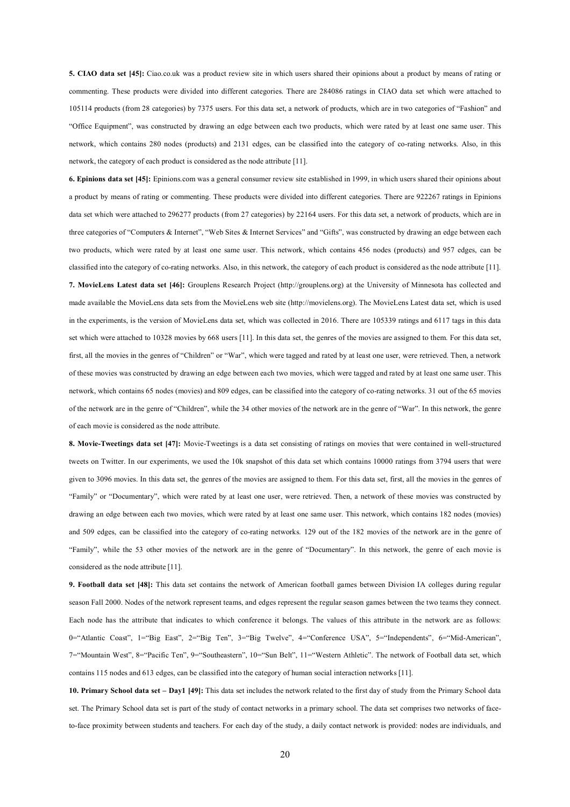**5. CIAO data set [45]:** Ciao.co.uk was a product review site in which users shared their opinions about a product by means of rating or commenting. These products were divided into different categories. There are 284086 ratings in CIAO data set which were attached to 105114 products (from 28 categories) by 7375 users. For this data set, a network of products, which are in two categories of "Fashion" and "Office Equipment", was constructed by drawing an edge between each two products, which were rated by at least one same user. This network, which contains 280 nodes (products) and 2131 edges, can be classified into the category of co-rating networks. Also, in this network, the category of each product is considered as the node attribute [11].

**6. Epinions data set [45]:** Epinions.com was a general consumer review site established in 1999, in which users shared their opinions about a product by means of rating or commenting. These products were divided into different categories. There are 922267 ratings in Epinions data set which were attached to 296277 products (from 27 categories) by 22164 users. For this data set, a network of products, which are in three categories of "Computers & Internet", "Web Sites & Internet Services" and "Gifts", was constructed by drawing an edge between each two products, which were rated by at least one same user. This network, which contains 456 nodes (products) and 957 edges, can be classified into the category of co-rating networks. Also, in this network, the category of each product is considered as the node attribute [11]. **7. MovieLens Latest data set [46]:** Grouplens Research Project (http://grouplens.org) at the University of Minnesota has collected and made available the MovieLens data sets from the MovieLens web site (http://movielens.org). The MovieLens Latest data set, which is used in the experiments, is the version of MovieLens data set, which was collected in 2016. There are 105339 ratings and 6117 tags in this data set which were attached to 10328 movies by 668 users [11]. In this data set, the genres of the movies are assigned to them. For this data set, first, all the movies in the genres of "Children" or "War", which were tagged and rated by at least one user, were retrieved. Then, a network of these movies was constructed by drawing an edge between each two movies, which were tagged and rated by at least one same user. This network, which contains 65 nodes (movies) and 809 edges, can be classified into the category of co-rating networks. 31 out of the 65 movies of the network are in the genre of "Children", while the 34 other movies of the network are in the genre of "War". In this network, the genre of each movie is considered as the node attribute.

**8. Movie-Tweetings data set [47]:** Movie-Tweetings is a data set consisting of ratings on movies that were contained in well-structured tweets on Twitter. In our experiments, we used the 10k snapshot of this data set which contains 10000 ratings from 3794 users that were given to 3096 movies. In this data set, the genres of the movies are assigned to them. For this data set, first, all the movies in the genres of "Family" or "Documentary", which were rated by at least one user, were retrieved. Then, a network of these movies was constructed by drawing an edge between each two movies, which were rated by at least one same user. This network, which contains 182 nodes (movies) and 509 edges, can be classified into the category of co-rating networks. 129 out of the 182 movies of the network are in the genre of "Family", while the 53 other movies of the network are in the genre of "Documentary". In this network, the genre of each movie is considered as the node attribute [11].

**9. Football data set [48]:** This data set contains the network of American football games between Division IA colleges during regular season Fall 2000. Nodes of the network represent teams, and edges represent the regular season games between the two teams they connect. Each node has the attribute that indicates to which conference it belongs. The values of this attribute in the network are as follows: 0="Atlantic Coast", 1="Big East", 2="Big Ten", 3="Big Twelve", 4="Conference USA", 5="Independents", 6="Mid-American", 7="Mountain West", 8="Pacific Ten", 9="Southeastern", 10="Sun Belt", 11="Western Athletic". The network of Football data set, which contains 115 nodes and 613 edges, can be classified into the category of human social interaction networks [11].

**10. Primary School data set – Day1 [49]:** This data set includes the network related to the first day of study from the Primary School data set. The Primary School data set is part of the study of contact networks in a primary school. The data set comprises two networks of faceto-face proximity between students and teachers. For each day of the study, a daily contact network is provided: nodes are individuals, and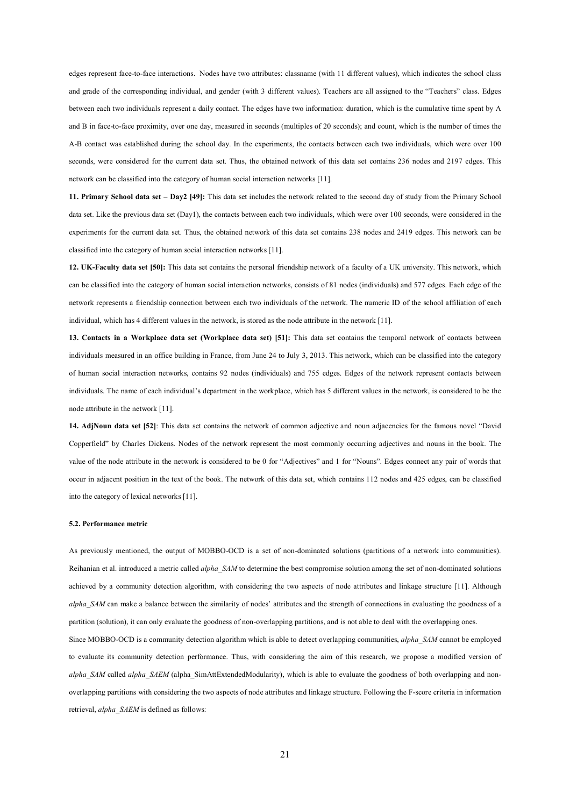edges represent face-to-face interactions. Nodes have two attributes: classname (with 11 different values), which indicates the school class and grade of the corresponding individual, and gender (with 3 different values). Teachers are all assigned to the "Teachers" class. Edges between each two individuals represent a daily contact. The edges have two information: duration, which is the cumulative time spent by A and B in face-to-face proximity, over one day, measured in seconds (multiples of 20 seconds); and count, which is the number of times the A-B contact was established during the school day. In the experiments, the contacts between each two individuals, which were over 100 seconds, were considered for the current data set. Thus, the obtained network of this data set contains 236 nodes and 2197 edges. This network can be classified into the category of human social interaction networks [11].

**11. Primary School data set – Day2 [49]:** This data set includes the network related to the second day of study from the Primary School data set. Like the previous data set (Day1), the contacts between each two individuals, which were over 100 seconds, were considered in the experiments for the current data set. Thus, the obtained network of this data set contains 238 nodes and 2419 edges. This network can be classified into the category of human social interaction networks [11].

**12. UK-Faculty data set [50]:** This data set contains the personal friendship network of a faculty of a UK university. This network, which can be classified into the category of human social interaction networks, consists of 81 nodes (individuals) and 577 edges. Each edge of the network represents a friendship connection between each two individuals of the network. The numeric ID of the school affiliation of each individual, which has 4 different values in the network, is stored as the node attribute in the network [11].

**13. Contacts in a Workplace data set (Workplace data set) [51]:** This data set contains the temporal network of contacts between individuals measured in an office building in France, from June 24 to July 3, 2013. This network, which can be classified into the category of human social interaction networks, contains 92 nodes (individuals) and 755 edges. Edges of the network represent contacts between individuals. The name of each individual's department in the workplace, which has 5 different values in the network, is considered to be the node attribute in the network [11].

**14. AdjNoun data set [52]**: This data set contains the network of common adjective and noun adjacencies for the famous novel "David Copperfield" by Charles Dickens. Nodes of the network represent the most commonly occurring adjectives and nouns in the book. The value of the node attribute in the network is considered to be 0 for "Adjectives" and 1 for "Nouns". Edges connect any pair of words that occur in adjacent position in the text of the book. The network of this data set, which contains 112 nodes and 425 edges, can be classified into the category of lexical networks [11].

#### **5.2. Performance metric**

As previously mentioned, the output of MOBBO-OCD is a set of non-dominated solutions (partitions of a network into communities). Reihanian et al. introduced a metric called *alpha\_SAM* to determine the best compromise solution among the set of non-dominated solutions achieved by a community detection algorithm, with considering the two aspects of node attributes and linkage structure [11]. Although *alpha\_SAM* can make a balance between the similarity of nodes' attributes and the strength of connections in evaluating the goodness of a partition (solution), it can only evaluate the goodness of non-overlapping partitions, and is not able to deal with the overlapping ones.

Since MOBBO-OCD is a community detection algorithm which is able to detect overlapping communities, *alpha\_SAM* cannot be employed to evaluate its community detection performance. Thus, with considering the aim of this research, we propose a modified version of *alpha\_SAM* called *alpha\_SAEM* (alpha\_SimAttExtendedModularity), which is able to evaluate the goodness of both overlapping and nonoverlapping partitions with considering the two aspects of node attributes and linkage structure. Following the F-score criteria in information retrieval, *alpha\_SAEM* is defined as follows: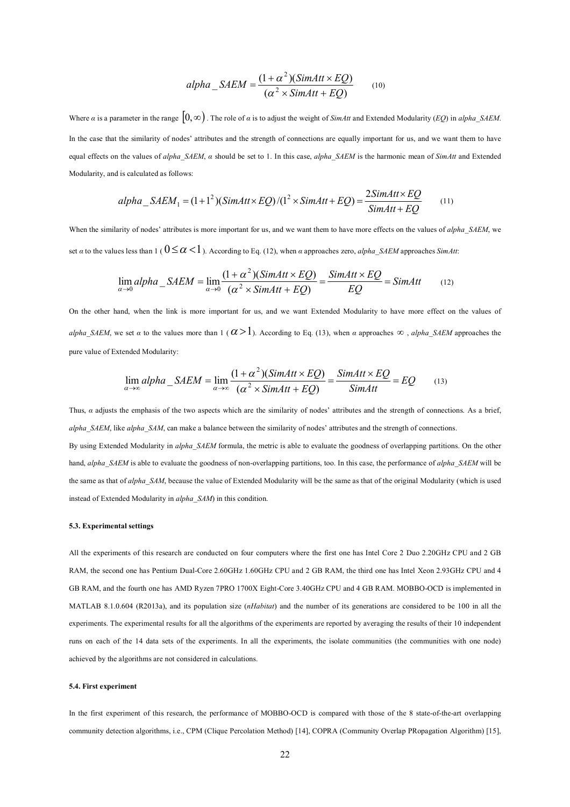$$
alpha\_SAEM = \frac{(1+\alpha^2)(SimAtt \times EQ)}{(\alpha^2 \times SimAtt + EQ)}
$$
(10)

Where *α* is a parameter in the range  $[0, \infty)$ . The role of *α* is to adjust the weight of *SimAtt* and Extended Modularity (*EQ*) in *alpha SAEM*. In the case that the similarity of nodes' attributes and the strength of connections are equally important for us, and we want them to have equal effects on the values of *alpha\_SAEM*, *α* should be set to 1. In this case, *alpha\_SAEM* is the harmonic mean of *SimAtt* and Extended Modularity, and is calculated as follows:

$$
alpha\_SAEM_1 = (1+1^2)(SimAtt \times EQ)/(1^2 \times SimAtt + EQ) = \frac{2SimAtt \times EQ}{SimAtt + EQ}
$$
 (11)

When the similarity of nodes' attributes is more important for us, and we want them to have more effects on the values of *alpha SAEM*, we set *α* to the values less than 1 ( $0 \le \alpha < 1$ ). According to Eq. (12), when *α* approaches zero, *alpha SAEM* approaches *SimAtt*:

$$
\lim_{\alpha \to 0} alpha\_SAEM = \lim_{\alpha \to 0} \frac{(1 + \alpha^2)(SimAtt \times EQ)}{(\alpha^2 \times SimAtt + EQ)} = \frac{SimAtt \times EQ}{EQ} = SimAtt
$$
 (12)

On the other hand, when the link is more important for us, and we want Extended Modularity to have more effect on the values of *alpha SAEM*, we set *α* to the values more than 1 (  $\alpha > 1$ ). According to Eq. (13), when *α* approaches  $\infty$ , *alpha SAEM* approaches the pure value of Extended Modularity:

$$
\lim_{\alpha \to \infty} alpha\_SAEM = \lim_{\alpha \to \infty} \frac{(1 + \alpha^2)(SimAtt \times EQ)}{(\alpha^2 \times SimAtt + EQ)} = \frac{SimAtt \times EQ}{SimAtt} = EQ
$$
 (13)

Thus, *α* adjusts the emphasis of the two aspects which are the similarity of nodes' attributes and the strength of connections. As a brief, *alpha\_SAEM*, like *alpha\_SAM*, can make a balance between the similarity of nodes' attributes and the strength of connections.

By using Extended Modularity in *alpha SAEM* formula, the metric is able to evaluate the goodness of overlapping partitions. On the other hand, *alpha* SAEM is able to evaluate the goodness of non-overlapping partitions, too. In this case, the performance of *alpha* SAEM will be the same as that of *alpha\_SAM*, because the value of Extended Modularity will be the same as that of the original Modularity (which is used instead of Extended Modularity in *alpha\_SAM*) in this condition.

#### **5.3. Experimental settings**

All the experiments of this research are conducted on four computers where the first one has Intel Core 2 Duo 2.20GHz CPU and 2 GB RAM, the second one has Pentium Dual-Core 2.60GHz 1.60GHz CPU and 2 GB RAM, the third one has Intel Xeon 2.93GHz CPU and 4 GB RAM, and the fourth one has AMD Ryzen 7PRO 1700X Eight-Core 3.40GHz CPU and 4 GB RAM. MOBBO-OCD is implemented in MATLAB 8.1.0.604 (R2013a), and its population size (*nHabitat*) and the number of its generations are considered to be 100 in all the experiments. The experimental results for all the algorithms of the experiments are reported by averaging the results of their 10 independent runs on each of the 14 data sets of the experiments. In all the experiments, the isolate communities (the communities with one node) achieved by the algorithms are not considered in calculations.

### **5.4. First experiment**

In the first experiment of this research, the performance of MOBBO-OCD is compared with those of the 8 state-of-the-art overlapping community detection algorithms, i.e., CPM (Clique Percolation Method) [14], COPRA (Community Overlap PRopagation Algorithm) [15],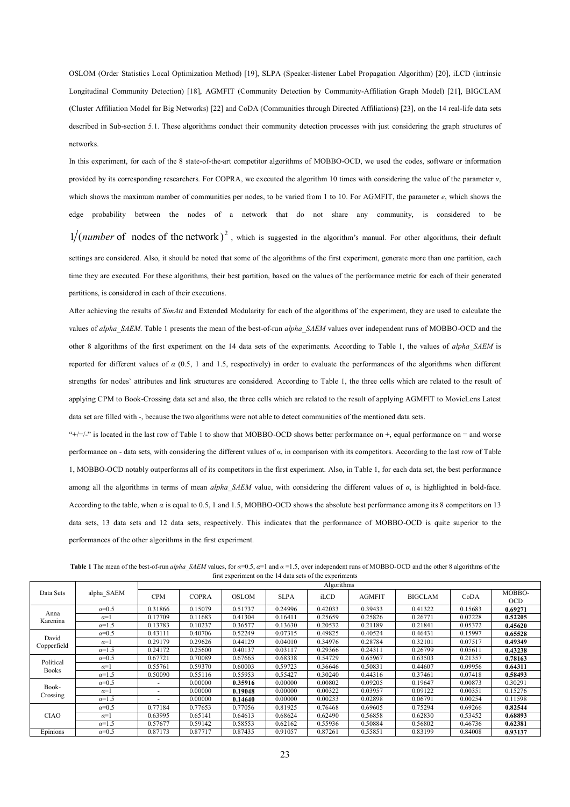OSLOM (Order Statistics Local Optimization Method) [19], SLPA (Speaker-listener Label Propagation Algorithm) [20], iLCD (intrinsic Longitudinal Community Detection) [18], AGMFIT (Community Detection by Community-Affiliation Graph Model) [21], BIGCLAM (Cluster Affiliation Model for Big Networks) [22] and CoDA (Communities through Directed Affiliations) [23], on the 14 real-life data sets described in Sub-section 5.1. These algorithms conduct their community detection processes with just considering the graph structures of networks.

In this experiment, for each of the 8 state-of-the-art competitor algorithms of MOBBO-OCD, we used the codes, software or information provided by its corresponding researchers. For COPRA, we executed the algorithm 10 times with considering the value of the parameter *v*, which shows the maximum number of communities per nodes, to be varied from 1 to 10. For AGMFIT, the parameter *e*, which shows the edge probability between the nodes of a network that do not share any community, is considered to be  $1/(number\ of\ nodes\ of\ the\ network)^2$ , which is suggested in the algorithm's manual. For other algorithms, their default settings are considered. Also, it should be noted that some of the algorithms of the first experiment, generate more than one partition, each time they are executed. For these algorithms, their best partition, based on the values of the performance metric for each of their generated partitions, is considered in each of their executions.

After achieving the results of *SimAtt* and Extended Modularity for each of the algorithms of the experiment, they are used to calculate the values of *alpha\_SAEM*. Table 1 presents the mean of the best-of-run *alpha\_SAEM* values over independent runs of MOBBO-OCD and the other 8 algorithms of the first experiment on the 14 data sets of the experiments. According to Table 1, the values of *alpha\_SAEM* is reported for different values of *α* (0.5, 1 and 1.5, respectively) in order to evaluate the performances of the algorithms when different strengths for nodes' attributes and link structures are considered. According to Table 1, the three cells which are related to the result of applying CPM to Book-Crossing data set and also, the three cells which are related to the result of applying AGMFIT to MovieLens Latest data set are filled with -, because the two algorithms were not able to detect communities of the mentioned data sets.

" $+/-$ " is located in the last row of Table 1 to show that MOBBO-OCD shows better performance on  $+$ , equal performance on  $=$  and worse performance on - data sets, with considering the different values of *α*, in comparison with its competitors. According to the last row of Table 1, MOBBO-OCD notably outperforms all of its competitors in the first experiment. Also, in Table 1, for each data set, the best performance among all the algorithms in terms of mean *alpha\_SAEM* value, with considering the different values of *α*, is highlighted in bold-face. According to the table, when *α* is equal to 0.5, 1 and 1.5, MOBBO-OCD shows the absolute best performance among its 8 competitors on 13 data sets, 13 data sets and 12 data sets, respectively. This indicates that the performance of MOBBO-OCD is quite superior to the performances of the other algorithms in the first experiment.

|                  |              |                          | Algorithms   |         |             |         |               |                |         |                      |  |  |
|------------------|--------------|--------------------------|--------------|---------|-------------|---------|---------------|----------------|---------|----------------------|--|--|
| Data Sets        | alpha SAEM   | <b>CPM</b>               | <b>COPRA</b> | OSLOM   | <b>SLPA</b> | iLCD    | <b>AGMFIT</b> | <b>BIGCLAM</b> | CoDA    | MOBBO-<br><b>OCD</b> |  |  |
|                  | $\alpha=0.5$ | 0.31866                  | 0.15079      | 0.51737 | 0.24996     | 0.42033 | 0.39433       | 0.41322        | 0.15683 | 0.69271              |  |  |
| Anna<br>Karenina | $\alpha=1$   | 0.17709                  | 0.11683      | 0.41304 | 0.16411     | 0.25659 | 0.25826       | 0.26771        | 0.07228 | 0.52205              |  |  |
|                  | $\alpha=1.5$ | 0.13783                  | 0.10237      | 0.36577 | 0.13630     | 0.20532 | 0.21189       | 0.21841        | 0.05372 | 0.45620              |  |  |
| David            | $\alpha=0.5$ | 0.43111                  | 0.40706      | 0.52249 | 0.07315     | 0.49825 | 0.40524       | 0.46431        | 0.15997 | 0.65528              |  |  |
| Copperfield      | $\alpha=1$   | 0.29179                  | 0.29626      | 0.44129 | 0.04010     | 0.34976 | 0.28784       | 0.32101        | 0.07517 | 0.49349              |  |  |
|                  | $\alpha=1.5$ | 0.24172                  | 0.25600      | 0.40137 | 0.03117     | 0.29366 | 0.24311       | 0.26799        | 0.05611 | 0.43238              |  |  |
| Political        | $\alpha=0.5$ | 0.67721                  | 0.70089      | 0.67665 | 0.68338     | 0.54729 | 0.65967       | 0.63503        | 0.21357 | 0.78163              |  |  |
| <b>Books</b>     | $\alpha=1$   | 0.55761                  | 0.59370      | 0.60003 | 0.59723     | 0.36646 | 0.50831       | 0.44607        | 0.09956 | 0.64311              |  |  |
|                  | $\alpha=1.5$ | 0.50090                  | 0.55116      | 0.55953 | 0.55427     | 0.30240 | 0.44316       | 0.37461        | 0.07418 | 0.58493              |  |  |
| Book-            | $\alpha=0.5$ |                          | 0.00000      | 0.35916 | 0.00000     | 0.00802 | 0.09205       | 0.19647        | 0.00873 | 0.30291              |  |  |
| Crossing         | $\alpha=1$   | $\overline{\phantom{0}}$ | 0.00000      | 0.19048 | 0.00000     | 0.00322 | 0.03957       | 0.09122        | 0.00351 | 0.15276              |  |  |
|                  | $\alpha=1.5$ |                          | 0.00000      | 0.14640 | 0.00000     | 0.00233 | 0.02898       | 0.06791        | 0.00254 | 0.11598              |  |  |
|                  | $\alpha=0.5$ | 0.77184                  | 0.77653      | 0.77056 | 0.81925     | 0.76468 | 0.69605       | 0.75294        | 0.69266 | 0.82544              |  |  |
| <b>CIAO</b>      | $\alpha=1$   | 0.63995                  | 0.65141      | 0.64613 | 0.68624     | 0.62490 | 0.56858       | 0.62830        | 0.53452 | 0.68893              |  |  |
|                  | $\alpha=1.5$ | 0.57677                  | 0.59142      | 0.58553 | 0.62162     | 0.55936 | 0.50884       | 0.56802        | 0.46736 | 0.62381              |  |  |
| Epinions         | $\alpha=0.5$ | 0.87173                  | 0.87717      | 0.87435 | 0.91057     | 0.87261 | 0.55851       | 0.83199        | 0.84008 | 0.93137              |  |  |

**Table 1** The mean of the best-of-run *alpha\_SAEM* values, for  $\alpha=0.5$ ,  $\alpha=1$  and  $\alpha=1.5$ , over independent runs of MOBBO-OCD and the other 8 algorithms of the first experiment on the 14 data sets of the experiments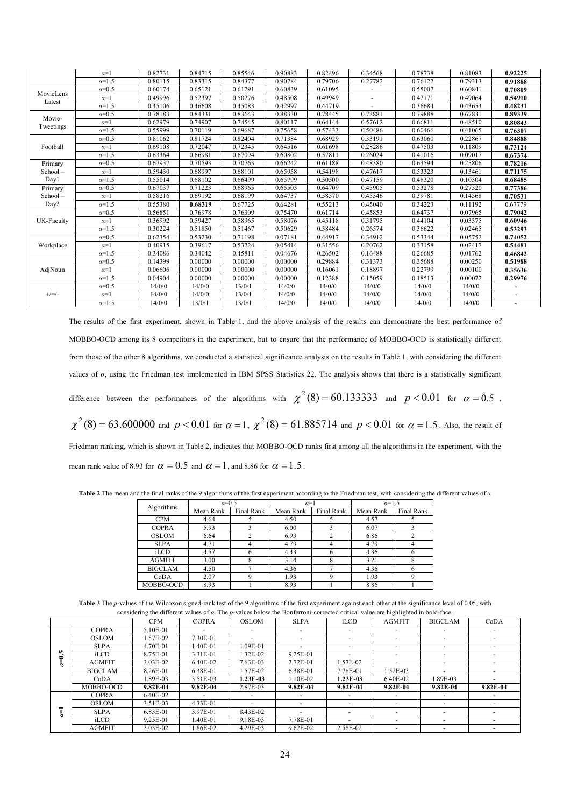|            | $\alpha=1$     | 0.82731 | 0.84715 | 0.85546 | 0.90883 | 0.82496 | 0.34568        | 0.78738 | 0.81083 | 0.92225 |
|------------|----------------|---------|---------|---------|---------|---------|----------------|---------|---------|---------|
|            | $\alpha = 1.5$ | 0.80115 | 0.83315 | 0.84377 | 0.90784 | 0.79706 | 0.27782        | 0.76122 | 0.79313 | 0.91888 |
| MovieLens  | $\alpha=0.5$   | 0.60174 | 0.65121 | 0.61291 | 0.60839 | 0.61095 |                | 0.55007 | 0.60841 | 0.70809 |
|            | $\alpha=1$     | 0.49996 | 0.52397 | 0.50276 | 0.48508 | 0.49949 | $\overline{a}$ | 0.42171 | 0.49064 | 0.54910 |
| Latest     | $\alpha = 1.5$ | 0.45106 | 0.46608 | 0.45083 | 0.42997 | 0.44719 |                | 0.36684 | 0.43653 | 0.48231 |
| Movie-     | $\alpha=0.5$   | 0.78183 | 0.84331 | 0.83643 | 0.88330 | 0.78445 | 0.73881        | 0.79888 | 0.67831 | 0.89339 |
| Tweetings  | $\alpha=1$     | 0.62979 | 0.74907 | 0.74545 | 0.80117 | 0.64144 | 0.57612        | 0.66811 | 0.48510 | 0.80843 |
|            | $\alpha = 1.5$ | 0.55999 | 0.70119 | 0.69687 | 0.75658 | 0.57433 | 0.50486        | 0.60466 | 0.41065 | 0.76307 |
|            | $\alpha=0.5$   | 0.81062 | 0.81724 | 0.82404 | 0.71384 | 0.68929 | 0.33191        | 0.63060 | 0.22867 | 0.84888 |
| Football   | $\alpha=1$     | 0.69108 | 0.72047 | 0.72345 | 0.64516 | 0.61698 | 0.28286        | 0.47503 | 0.11809 | 0.73124 |
|            | $\alpha=1.5$   | 0.63364 | 0.66981 | 0.67094 | 0.60802 | 0.57811 | 0.26024        | 0.41016 | 0.09017 | 0.67374 |
| Primary    | $\alpha=0.5$   | 0.67937 | 0.70593 | 0.70763 | 0.66242 | 0.61188 | 0.48380        | 0.63594 | 0.25806 | 0.78216 |
| School-    | $\alpha=1$     | 0.59430 | 0.68997 | 0.68101 | 0.65958 | 0.54198 | 0.47617        | 0.53323 | 0.13461 | 0.71175 |
| Day1       | $\alpha = 1.5$ | 0.55014 | 0.68102 | 0.66499 | 0.65799 | 0.50500 | 0.47159        | 0.48320 | 0.10304 | 0.68485 |
| Primary    | $\alpha=0.5$   | 0.67037 | 0.71223 | 0.68965 | 0.65505 | 0.64709 | 0.45905        | 0.53278 | 0.27520 | 0.77386 |
| School-    | $\alpha=1$     | 0.58216 | 0.69192 | 0.68199 | 0.64737 | 0.58570 | 0.45346        | 0.39781 | 0.14568 | 0.70531 |
| Day2       | $\alpha=1.5$   | 0.55380 | 0.68319 | 0.67725 | 0.64281 | 0.55213 | 0.45040        | 0.34223 | 0.11192 | 0.67779 |
|            | $\alpha = 0.5$ | 0.56851 | 0.76978 | 0.76309 | 0.75470 | 0.61714 | 0.45853        | 0.64737 | 0.07965 | 0.79042 |
| UK-Faculty | $\alpha=1$     | 0.36992 | 0.59427 | 0.58965 | 0.58076 | 0.45118 | 0.31795        | 0.44104 | 0.03375 | 0.60946 |
|            | $\alpha = 1.5$ | 0.30224 | 0.51850 | 0.51467 | 0.50629 | 0.38484 | 0.26574        | 0.36622 | 0.02465 | 0.53293 |
|            | $\alpha = 0.5$ | 0.62354 | 0.53230 | 0.71198 | 0.07181 | 0.44917 | 0.34912        | 0.53344 | 0.05752 | 0.74052 |
| Workplace  | $\alpha=1$     | 0.40915 | 0.39617 | 0.53224 | 0.05414 | 0.31556 | 0.20762        | 0.33158 | 0.02417 | 0.54481 |
|            | $\alpha = 1.5$ | 0.34086 | 0.34042 | 0.45811 | 0.04676 | 0.26502 | 0.16488        | 0.26685 | 0.01762 | 0.46842 |
|            | $\alpha=0.5$   | 0.14399 | 0.00000 | 0.00000 | 0.00000 | 0.29884 | 0.31373        | 0.35688 | 0.00250 | 0.51988 |
| AdjNoun    | $\alpha=1$     | 0.06606 | 0.00000 | 0.00000 | 0.00000 | 0.16061 | 0.18897        | 0.22799 | 0.00100 | 0.35636 |
|            | $\alpha = 1.5$ | 0.04904 | 0.00000 | 0.00000 | 0.00000 | 0.12388 | 0.15059        | 0.18513 | 0.00072 | 0.29976 |
|            | $\alpha=0.5$   | 14/0/0  | 14/0/0  | 13/0/1  | 14/0/0  | 14/0/0  | 14/0/0         | 14/0/0  | 14/0/0  |         |
| $+/-/$     | $\alpha=1$     | 14/0/0  | 14/0/0  | 13/0/1  | 14/0/0  | 14/0/0  | 14/0/0         | 14/0/0  | 14/0/0  | ٠       |
|            | $\alpha = 1.5$ | 14/0/0  | 13/0/1  | 13/0/1  | 14/0/0  | 14/0/0  | 14/0/0         | 14/0/0  | 14/0/0  | ٠       |

The results of the first experiment, shown in Table 1, and the above analysis of the results can demonstrate the best performance of MOBBO-OCD among its 8 competitors in the experiment, but to ensure that the performance of MOBBO-OCD is statistically different from those of the other 8 algorithms, we conducted a statistical significance analysis on the results in Table 1, with considering the different values of *α*, using the Friedman test implemented in IBM SPSS Statistics 22. The analysis shows that there is a statistically significant difference between the performances of the algorithms with  $\chi^2(8) = 60.133333$  and  $p < 0.01$  for  $\alpha = 0.5$ ,  $\chi^2(8)=63.600000$  and  $p< 0.01$  for  $\alpha=1$ ,  $\chi^2(8)=61.885714$  and  $p< 0.01$  for  $\alpha=1.5$ . Also, the result of

Friedman ranking, which is shown in Table 2, indicates that MOBBO-OCD ranks first among all the algorithms in the experiment, with the mean rank value of 8.93 for  $\alpha = 0.5$  and  $\alpha = 1$ , and 8.86 for  $\alpha = 1.5$ .

**Table 2** The mean and the final ranks of the 9 algorithms of the first experiment according to the Friedman test, with considering the different values of *α*

| Algorithms     | $\alpha=0.5$ |            | $\alpha=1$ |            | $\alpha=1.5$ |            |
|----------------|--------------|------------|------------|------------|--------------|------------|
|                | Mean Rank    | Final Rank | Mean Rank  | Final Rank | Mean Rank    | Final Rank |
| <b>CPM</b>     | 4.64         |            | 4.50       |            | 4.57         |            |
| <b>COPRA</b>   | 5.93         |            | 6.00       |            | 6.07         |            |
| <b>OSLOM</b>   | 6.64         |            | 6.93       |            | 6.86         |            |
| <b>SLPA</b>    | 4.71         | 4          | 4.79       | 4          | 4.79         |            |
| iLCD           | 4.57         |            | 4.43       | 6          | 4.36         |            |
| <b>AGMFIT</b>  | 3.00         |            | 3.14       | 8          | 3.21         |            |
| <b>BIGCLAM</b> | 4.50         |            | 4.36       |            | 4.36         |            |
| CoDA           | 2.07         | $\Omega$   | 1.93       |            | 1.93         |            |
| MOBBO-OCD      | 8.93         |            | 8.93       |            | 8.86         |            |

Table 3 The *p*-values of the Wilcoxon signed-rank test of the 9 algorithms of the first experiment against each other at the significance level of 0.05, with considering the different values of *α*. The *p*-values below the Bonferroni-corrected critical value are highlighted in bold-face.

|   |                | $\tilde{}$   |              |                          |              |            |                          |                          |            |
|---|----------------|--------------|--------------|--------------------------|--------------|------------|--------------------------|--------------------------|------------|
|   |                | <b>CPM</b>   | <b>COPRA</b> | <b>OSLOM</b>             | <b>SLPA</b>  | iLCD       | <b>AGMFIT</b>            | <b>BIGCLAM</b>           | CoDA       |
|   | <b>COPRA</b>   | 5.10E-01     |              |                          |              |            |                          |                          |            |
|   | <b>OSLOM</b>   | 1.57E-02     | 7.30E-01     |                          |              |            |                          |                          |            |
|   | <b>SLPA</b>    | 4.70E-01     | 1.40E-01     | 1.09E-01                 |              |            |                          |                          |            |
| m | iLCD           | 8.75E-01     | 3.31E-01     | 1.32E-02                 | 9.25E-01     |            |                          |                          |            |
|   | <b>AGMEIT</b>  | 3.03E-02     | 6.40E-02     | 7.63E-03                 | 2.72E-01     | 1.57E-02   | $\overline{\phantom{0}}$ |                          |            |
|   | <b>BIGCLAM</b> | 8.26E-01     | 6.38E-01     | 1.57E-02                 | 6.38E-01     | 7.78E-01   | 1.52E-03                 |                          |            |
|   | CoDA           | 1.89E-03     | 3.51E-03     | 1.23E-03                 | 1.10E-02     | $1.23E-03$ | 6.40E-02                 | 1.89E-03                 |            |
|   | MOBBO-OCD      | $9.82E - 04$ | $9.82E - 04$ | 2.87E-03                 | $9.82E - 04$ | $9.82E-04$ | $9.82E - 04$             | 9.82E-04                 | $9.82E-04$ |
|   | <b>COPRA</b>   | 6.40E-02     |              | $\overline{\phantom{0}}$ |              | $\sim$     | ۰                        | $\overline{\phantom{a}}$ |            |
|   | <b>OSLOM</b>   | 3.51E-03     | 4.33E-01     |                          |              |            | $\overline{\phantom{0}}$ |                          |            |
|   | <b>SLPA</b>    | 6.83E-01     | 3.97E-01     | 8.43E-02                 |              |            |                          |                          |            |
|   | iLCD           | 9.25E-01     | 1.40E-01     | 9.18E-03                 | 7.78E-01     |            |                          |                          |            |
|   | <b>AGMEIT</b>  | 3.03E-02     | .86E-02      | 4.29E-03                 | $9.62E - 02$ | 2.58E-02   |                          |                          |            |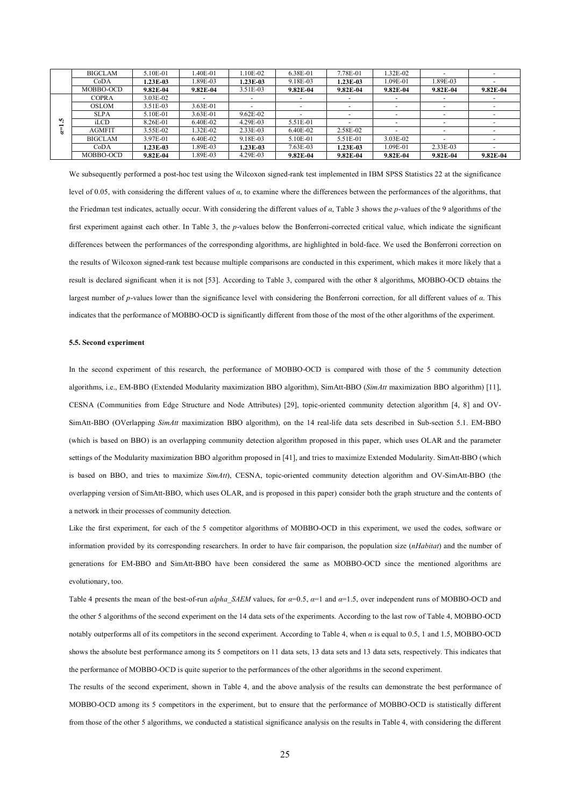|           | <b>BIGCLAM</b>    | 5.10E-01        | $.40E-01$    | $.10E - 02$              | 6.38E-01                 | 7.78E-01                 | 32E-02                   |            |              |
|-----------|-------------------|-----------------|--------------|--------------------------|--------------------------|--------------------------|--------------------------|------------|--------------|
|           | CoDA              | <b>1.23E-03</b> | 1.89E-03     | $.23E-03$                | 9.18E-03                 | 1.23E-03                 | $1.09E - 01$             | 1.89E-03   |              |
|           | MOBBO-OCD         | $9.82E-04$      | $9.82E - 04$ | 3.51E-03                 | $9.82E-04$               | $9.82E-04$               | $9.82E-04$               | $9.82E-04$ | 9.82E-04     |
|           | COPRA             | 3.03E-02        |              |                          |                          | ۰                        | $\overline{\phantom{0}}$ |            |              |
|           | <b>OSLOM</b>      | 3.51E-03        | $3.63E - 01$ | $\overline{\phantom{0}}$ | $\overline{\phantom{a}}$ | $\overline{\phantom{0}}$ | $\overline{\phantom{0}}$ |            |              |
|           | <b>SLPA</b>       | 5.10E-01        | 3.63E-01     | 9.62E-02                 |                          | $\overline{\phantom{0}}$ | $\overline{\phantom{0}}$ |            |              |
| <b>SC</b> | i <sub>L</sub> CD | 8.26E-01        | 6.40E-02     | 4.29E-03                 | 5.51E-01                 |                          |                          |            |              |
|           | <b>AGMEIT</b>     | 3.55E-02        | 1.32E-02     | 2.33E-03                 | 6.40E-02                 | 2.58E-02                 |                          |            |              |
|           | <b>BIGCLAM</b>    | 3.97E-01        | 6.40E-02     | 9.18E-03                 | 5.10E-01                 | 5.51E-01                 | 3.03E-02                 |            |              |
|           | Co <sub>DA</sub>  | 1.23E-03        | 1.89E-03     | $1.23E - 03$             | $7.63E - 03$             | 1.23E-03                 | $1.09E - 01$             | $2.33E-03$ |              |
|           | MOBBO-OCD         | $9.82E-04$      | l.89E-03     | 4.29E-03                 | $9.82E-04$               | $9.82E-04$               | $9.82E - 04$             | $9.82E-04$ | $9.82E - 04$ |

We subsequently performed a post-hoc test using the Wilcoxon signed-rank test implemented in IBM SPSS Statistics 22 at the significance level of 0.05, with considering the different values of *α*, to examine where the differences between the performances of the algorithms, that the Friedman test indicates, actually occur. With considering the different values of *α*, Table 3 shows the *p*-values of the 9 algorithms of the first experiment against each other. In Table 3, the *p*-values below the Bonferroni-corrected critical value, which indicate the significant differences between the performances of the corresponding algorithms, are highlighted in bold-face. We used the Bonferroni correction on the results of Wilcoxon signed-rank test because multiple comparisons are conducted in this experiment, which makes it more likely that a result is declared significant when it is not [53]. According to Table 3, compared with the other 8 algorithms, MOBBO-OCD obtains the largest number of *p*-values lower than the significance level with considering the Bonferroni correction, for all different values of *α*. This indicates that the performance of MOBBO-OCD is significantly different from those of the most of the other algorithms of the experiment.

#### **5.5. Second experiment**

In the second experiment of this research, the performance of MOBBO-OCD is compared with those of the 5 community detection algorithms, i.e., EM-BBO (Extended Modularity maximization BBO algorithm), SimAtt-BBO (*SimAtt* maximization BBO algorithm) [11], CESNA (Communities from Edge Structure and Node Attributes) [29], topic-oriented community detection algorithm [4, 8] and OV-SimAtt-BBO (OVerlapping *SimAtt* maximization BBO algorithm), on the 14 real-life data sets described in Sub-section 5.1. EM-BBO (which is based on BBO) is an overlapping community detection algorithm proposed in this paper, which uses OLAR and the parameter settings of the Modularity maximization BBO algorithm proposed in [41], and tries to maximize Extended Modularity. SimAtt-BBO (which is based on BBO, and tries to maximize *SimAtt*), CESNA, topic-oriented community detection algorithm and OV-SimAtt-BBO (the overlapping version of SimAtt-BBO, which uses OLAR, and is proposed in this paper) consider both the graph structure and the contents of a network in their processes of community detection.

Like the first experiment, for each of the 5 competitor algorithms of MOBBO-OCD in this experiment, we used the codes, software or information provided by its corresponding researchers. In order to have fair comparison, the population size (*nHabitat*) and the number of generations for EM-BBO and SimAtt-BBO have been considered the same as MOBBO-OCD since the mentioned algorithms are evolutionary, too.

Table 4 presents the mean of the best-of-run *alpha\_SAEM* values, for *α*=0.5, *α*=1 and *α*=1.5, over independent runs of MOBBO-OCD and the other 5 algorithms of the second experiment on the 14 data sets of the experiments. According to the last row of Table 4, MOBBO-OCD notably outperforms all of its competitors in the second experiment. According to Table 4, when *α* is equal to 0.5, 1 and 1.5, MOBBO-OCD shows the absolute best performance among its 5 competitors on 11 data sets, 13 data sets and 13 data sets, respectively. This indicates that the performance of MOBBO-OCD is quite superior to the performances of the other algorithms in the second experiment.

The results of the second experiment, shown in Table 4, and the above analysis of the results can demonstrate the best performance of MOBBO-OCD among its 5 competitors in the experiment, but to ensure that the performance of MOBBO-OCD is statistically different from those of the other 5 algorithms, we conducted a statistical significance analysis on the results in Table 4, with considering the different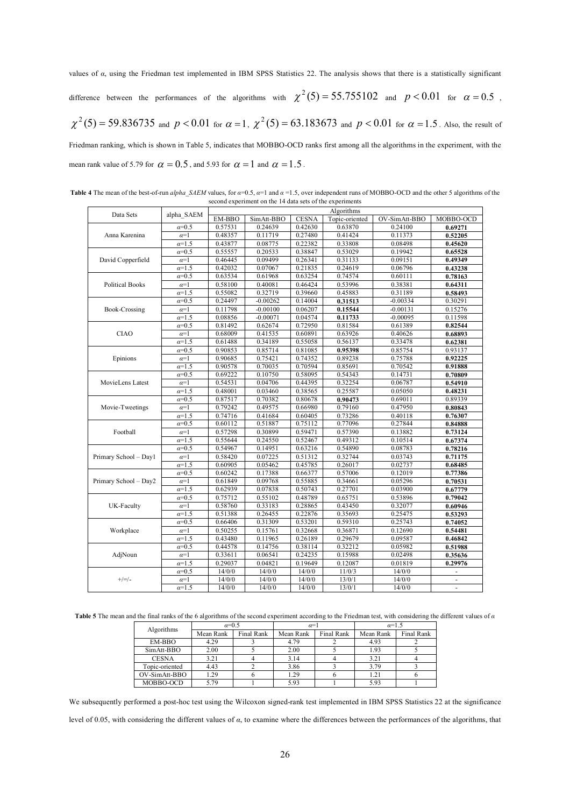values of *α*, using the Friedman test implemented in IBM SPSS Statistics 22. The analysis shows that there is a statistically significant difference between the performances of the algorithms with  $\chi^2(5) = 55.755102$  and  $p < 0.01$  for  $\alpha = 0.5$ ,  $\chi^2(5)=59.836735$  and  $p< 0.01$  for  $\alpha=1$ ,  $\chi^2(5)=63.183673$  and  $p< 0.01$  for  $\alpha=1.5$ . Also, the result of Friedman ranking, which is shown in Table 5, indicates that MOBBO-OCD ranks first among all the algorithms in the experiment, with the

mean rank value of 5.79 for  $\alpha = 0.5$ , and 5.93 for  $\alpha = 1$  and  $\alpha = 1.5$ .

**Table 4** The mean of the best-of-run *alpha\_SAEM* values, for *α*=0.5, *α*=1 and *α* =1.5, over independent runs of MOBBO-OCD and the other 5 algorithms of the second experiment on the 14 data sets of the experiments

|                        | alpha SAEM     | Algorithms |            |              |                |               |                |  |  |
|------------------------|----------------|------------|------------|--------------|----------------|---------------|----------------|--|--|
| Data Sets              |                | EM-BBO     | SimAtt-BBO | <b>CESNA</b> | Topic-oriented | OV-SimAtt-BBO | MOBBO-OCD      |  |  |
|                        | $\alpha = 0.5$ | 0.57531    | 0.24639    | 0.42630      | 0.63870        | 0.24100       | 0.69271        |  |  |
| Anna Karenina          | $\alpha=1$     | 0.48357    | 0.11719    | 0.27480      | 0.41424        | 0.11373       | 0.52205        |  |  |
|                        | $\alpha = 1.5$ | 0.43877    | 0.08775    | 0.22382      | 0.33808        | 0.08498       | 0.45620        |  |  |
|                        | $a=0.5$        | 0.55557    | 0.20533    | 0.38847      | 0.53029        | 0.19942       | 0.65528        |  |  |
| David Copperfield      | $\alpha=1$     | 0.46445    | 0.09499    | 0.26341      | 0.31133        | 0.09151       | 0.49349        |  |  |
|                        | $a=1.5$        | 0.42032    | 0.07067    | 0.21835      | 0.24619        | 0.06796       | 0.43238        |  |  |
|                        | $\alpha = 0.5$ | 0.63534    | 0.61968    | 0.63254      | 0.74574        | 0.60111       | 0.78163        |  |  |
| <b>Political Books</b> | $\alpha=1$     | 0.58100    | 0.40081    | 0.46424      | 0.53996        | 0.38381       | 0.64311        |  |  |
|                        | $a=1.5$        | 0.55082    | 0.32719    | 0.39660      | 0.45883        | 0.31189       | 0.58493        |  |  |
|                        | $\alpha = 0.5$ | 0.24497    | $-0.00262$ | 0.14004      | 0.31513        | $-0.00334$    | 0.30291        |  |  |
| Book-Crossing          | $\alpha=1$     | 0.11798    | $-0.00100$ | 0.06207      | 0.15544        | $-0.00131$    | 0.15276        |  |  |
|                        | $a=1.5$        | 0.08856    | $-0.00071$ | 0.04574      | 0.11733        | $-0.00095$    | 0.11598        |  |  |
|                        | $\alpha = 0.5$ | 0.81492    | 0.62674    | 0.72950      | 0.81584        | 0.61389       | 0.82544        |  |  |
| <b>CIAO</b>            | $\alpha=1$     | 0.68009    | 0.41535    | 0.60891      | 0.63926        | 0.40626       | 0.68893        |  |  |
|                        | $a=1.5$        | 0.61488    | 0.34189    | 0.55058      | 0.56137        | 0.33478       | 0.62381        |  |  |
|                        | $\alpha = 0.5$ | 0.90853    | 0.85714    | 0.81085      | 0.95398        | 0.85754       | 0.93137        |  |  |
| Epinions               | $\alpha=1$     | 0.90685    | 0.75421    | 0.74352      | 0.89238        | 0.75788       | 0.92225        |  |  |
|                        | $a=1.5$        | 0.90578    | 0.70035    | 0.70594      | 0.85691        | 0.70542       | 0.91888        |  |  |
|                        | $\alpha = 0.5$ | 0.69222    | 0.10750    | 0.58095      | 0.54343        | 0.14731       | 0.70809        |  |  |
| MovieLens Latest       | $\alpha=1$     | 0.54531    | 0.04706    | 0.44395      | 0.32254        | 0.06787       | 0.54910        |  |  |
|                        | $\alpha = 1.5$ | 0.48001    | 0.03460    | 0.38565      | 0.25587        | 0.05050       | 0.48231        |  |  |
|                        | $\alpha = 0.5$ | 0.87517    | 0.70382    | 0.80678      | 0.90473        | 0.69011       | 0.89339        |  |  |
| Movie-Tweetings        | $\alpha=1$     | 0.79242    | 0.49575    | 0.66980      | 0.79160        | 0.47950       | 0.80843        |  |  |
|                        | $a=1.5$        | 0.74716    | 0.41684    | 0.60405      | 0.73286        | 0.40118       | 0.76307        |  |  |
|                        | $\alpha = 0.5$ | 0.60112    | 0.51887    | 0.75112      | 0.77096        | 0.27844       | 0.84888        |  |  |
| Football               | $\alpha=1$     | 0.57298    | 0.30899    | 0.59471      | 0.57390        | 0.13882       | 0.73124        |  |  |
|                        | $\alpha = 1.5$ | 0.55644    | 0.24550    | 0.52467      | 0.49312        | 0.10514       | 0.67374        |  |  |
|                        | $\alpha = 0.5$ | 0.54967    | 0.14951    | 0.63216      | 0.54890        | 0.08783       | 0.78216        |  |  |
| Primary School - Day1  | $\alpha=1$     | 0.58420    | 0.07225    | 0.51312      | 0.32744        | 0.03743       | 0.71175        |  |  |
|                        | $a=1.5$        | 0.60905    | 0.05462    | 0.45785      | 0.26017        | 0.02737       | 0.68485        |  |  |
|                        | $\alpha = 0.5$ | 0.60242    | 0.17388    | 0.66377      | 0.57006        | 0.12019       | 0.77386        |  |  |
| Primary School - Day2  | $\alpha=1$     | 0.61849    | 0.09768    | 0.55885      | 0.34661        | 0.05296       | 0.70531        |  |  |
|                        | $\alpha = 1.5$ | 0.62939    | 0.07838    | 0.50743      | 0.27701        | 0.03900       | 0.67779        |  |  |
|                        | $\alpha = 0.5$ | 0.75712    | 0.55102    | 0.48789      | 0.65751        | 0.53896       | 0.79042        |  |  |
| UK-Faculty             | $\alpha=1$     | 0.58760    | 0.33183    | 0.28865      | 0.43450        | 0.32077       | 0.60946        |  |  |
|                        | $\alpha = 1.5$ | 0.51388    | 0.26455    | 0.22876      | 0.35693        | 0.25475       | 0.53293        |  |  |
|                        | $\alpha = 0.5$ | 0.66406    | 0.31309    | 0.53201      | 0.59310        | 0.25743       | 0.74052        |  |  |
| Workplace              | $\alpha=1$     | 0.50255    | 0.15761    | 0.32668      | 0.36871        | 0.12690       | 0.54481        |  |  |
|                        | $\alpha = 1.5$ | 0.43480    | 0.11965    | 0.26189      | 0.29679        | 0.09587       | 0.46842        |  |  |
|                        | $\alpha = 0.5$ | 0.44578    | 0.14756    | 0.38114      | 0.32212        | 0.05982       | 0.51988        |  |  |
| AdjNoun                | $\alpha=1$     | 0.33611    | 0.06541    | 0.24235      | 0.15988        | 0.02498       | 0.35636        |  |  |
|                        | $\alpha = 1.5$ | 0.29037    | 0.04821    | 0.19649      | 0.12087        | 0.01819       | 0.29976        |  |  |
|                        | $\alpha = 0.5$ | 14/0/0     | 14/0/0     | 14/0/0       | 11/0/3         | 14/0/0        |                |  |  |
| $+/-/$                 | $\alpha=1$     | 14/0/0     | 14/0/0     | 14/0/0       | 13/0/1         | 14/0/0        | $\blacksquare$ |  |  |
|                        | $\alpha = 1.5$ | 14/0/0     | 14/0/0     | 14/0/0       | 13/0/1         | 14/0/0        |                |  |  |

**Table 5** The mean and the final ranks of the 6 algorithms of the second experiment according to the Friedman test, with considering the different values of *α*

| Algorithms     | $\alpha = 0.5$ |            | $\alpha=1$ |            | $\alpha=1.5$ |            |  |
|----------------|----------------|------------|------------|------------|--------------|------------|--|
|                | Mean Rank      | Final Rank | Mean Rank  | Final Rank | Mean Rank    | Final Rank |  |
| EM-BBO         | 4.29           |            | 4.79       |            | 4.93         |            |  |
| SimAtt-BBO     | 2.00           |            | 2.00       |            | 1.93         |            |  |
| <b>CESNA</b>   | 3.21           |            | 3.14       |            | 3.21         |            |  |
| Topic-oriented | 4.43           |            | 3.86       |            | 3.79         |            |  |
| OV-SimAtt-BBO  | 1.29           |            | 1.29       |            | 1.21         |            |  |
| MOBBO-OCD      | 5.79           |            | 5.93       |            | 5.93         |            |  |

We subsequently performed a post-hoc test using the Wilcoxon signed-rank test implemented in IBM SPSS Statistics 22 at the significance level of 0.05, with considering the different values of *α*, to examine where the differences between the performances of the algorithms, that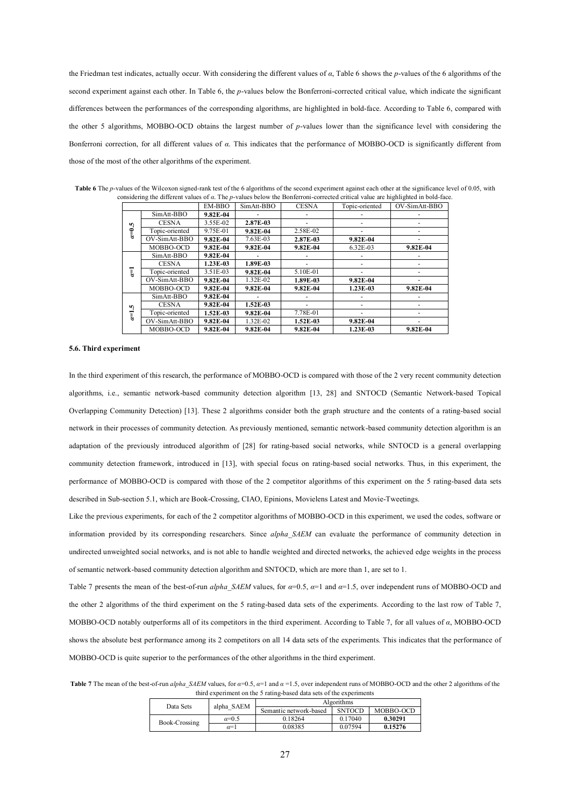the Friedman test indicates, actually occur. With considering the different values of *α*, Table 6 shows the *p*-values of the 6 algorithms of the second experiment against each other. In Table 6, the *p*-values below the Bonferroni-corrected critical value, which indicate the significant differences between the performances of the corresponding algorithms, are highlighted in bold-face. According to Table 6, compared with the other 5 algorithms, MOBBO-OCD obtains the largest number of *p*-values lower than the significance level with considering the Bonferroni correction, for all different values of *α*. This indicates that the performance of MOBBO-OCD is significantly different from those of the most of the other algorithms of the experiment.

|                |                | EM-BBO       | SimAtt-BBO   | <b>CESNA</b> | Topic-oriented | OV-SimAtt-BBO |
|----------------|----------------|--------------|--------------|--------------|----------------|---------------|
|                | SimAtt-BBO     | $9.82E - 04$ |              |              |                |               |
|                | <b>CESNA</b>   | 3.55E-02     | 2.87E-03     |              |                |               |
| $\alpha = 0.5$ | Topic-oriented | 9.75E-01     | $9.82E - 04$ | 2.58E-02     |                |               |
|                | OV-SimAtt-BBO  | 9.82E-04     | 7.63E-03     | 2.87E-03     | $9.82E - 04$   |               |
|                | MOBBO-OCD      | $9.82E - 04$ | $9.82E - 04$ | $9.82E - 04$ | 6.32E-03       | 9.82E-04      |
|                | SimAtt-BBO     | $9.82E - 04$ |              |              |                |               |
|                | <b>CESNA</b>   | 1.23E-03     | 1.89E-03     |              |                |               |
| ī              | Topic-oriented | 3.51E-03     | $9.82E - 04$ | 5.10E-01     |                |               |
|                | OV-SimAtt-BBO  | $9.82E - 04$ | 1.32E-02     | 1.89E-03     | $9.82E - 04$   |               |
|                | MOBBO-OCD      | $9.82E-04$   | $9.82E - 04$ | $9.82E - 04$ | $1.23E-03$     | $9.82E - 04$  |
|                | SimAtt-BBO     | 9.82E-04     |              |              |                |               |
| r.             | <b>CESNA</b>   | 9.82E-04     | $1.52E-03$   |              |                |               |
| $\overline{a}$ | Topic-oriented | 1.52E-03     | $9.82E - 04$ | 7.78E-01     |                |               |
|                | OV-SimAtt-BBO  | 9.82E-04     | 1.32E-02     | $1.52E-03$   | $9.82E - 04$   |               |
|                | MOBBO-OCD      | 9.82E-04     | 9.82E-04     | 9.82E-04     | $1.23E-03$     | 9.82E-04      |

Table 6 The *p*-values of the Wilcoxon signed-rank test of the 6 algorithms of the second experiment against each other at the significance level of 0.05, with considering the different values of *α*. The *p*-values below the Bonferroni-corrected critical value are highlighted in bold-face.

#### **5.6. Third experiment**

In the third experiment of this research, the performance of MOBBO-OCD is compared with those of the 2 very recent community detection algorithms, i.e., semantic network-based community detection algorithm [13, 28] and SNTOCD (Semantic Network-based Topical Overlapping Community Detection) [13]. These 2 algorithms consider both the graph structure and the contents of a rating-based social network in their processes of community detection. As previously mentioned, semantic network-based community detection algorithm is an adaptation of the previously introduced algorithm of [28] for rating-based social networks, while SNTOCD is a general overlapping community detection framework, introduced in [13], with special focus on rating-based social networks. Thus, in this experiment, the performance of MOBBO-OCD is compared with those of the 2 competitor algorithms of this experiment on the 5 rating-based data sets described in Sub-section 5.1, which are Book-Crossing, CIAO, Epinions, Movielens Latest and Movie-Tweetings.

Like the previous experiments, for each of the 2 competitor algorithms of MOBBO-OCD in this experiment, we used the codes, software or information provided by its corresponding researchers. Since *alpha\_SAEM* can evaluate the performance of community detection in undirected unweighted social networks, and is not able to handle weighted and directed networks, the achieved edge weights in the process of semantic network-based community detection algorithm and SNTOCD, which are more than 1, are set to 1.

Table 7 presents the mean of the best-of-run *alpha\_SAEM* values, for *α*=0.5, *α*=1 and *α*=1.5, over independent runs of MOBBO-OCD and the other 2 algorithms of the third experiment on the 5 rating-based data sets of the experiments. According to the last row of Table 7, MOBBO-OCD notably outperforms all of its competitors in the third experiment. According to Table 7, for all values of *α*, MOBBO-OCD shows the absolute best performance among its 2 competitors on all 14 data sets of the experiments. This indicates that the performance of MOBBO-OCD is quite superior to the performances of the other algorithms in the third experiment.

**Table 7** The mean of the best-of-run *alpha\_SAEM* values, for  $\alpha=0.5$ ,  $\alpha=1$  and  $\alpha=1.5$ , over independent runs of MOBBO-OCD and the other 2 algorithms of the third experiment on the 5 rating-based data sets of the experiments

| Data Sets     | alpha SAEM   | Algorithms                              |         |           |  |
|---------------|--------------|-----------------------------------------|---------|-----------|--|
|               |              | <b>SNTOCD</b><br>Semantic network-based |         | MOBBO-OCD |  |
|               | $\alpha=0.5$ | 0.18264                                 | 0.17040 | 0.30291   |  |
| Book-Crossing | $\alpha=1$   | 0.08385                                 | 0.07594 | 0.15276   |  |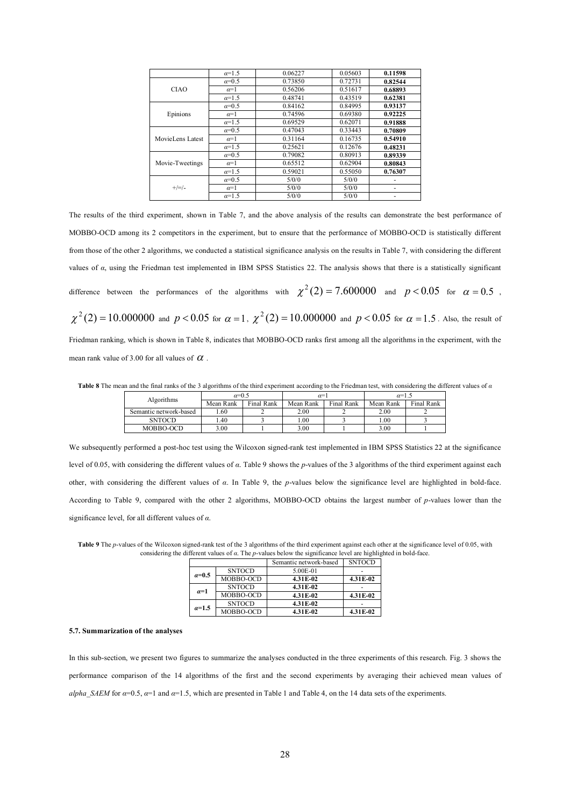|                  | $\alpha=1.5$ | 0.06227 | 0.05603 | 0.11598 |
|------------------|--------------|---------|---------|---------|
|                  | $\alpha=0.5$ | 0.73850 | 0.72731 | 0.82544 |
| <b>CIAO</b>      | $\alpha=1$   | 0.56206 | 0.51617 | 0.68893 |
|                  | $\alpha=1.5$ | 0.48741 | 0.43519 | 0.62381 |
|                  | $\alpha=0.5$ | 0.84162 | 0.84995 | 0.93137 |
| Epinions         | $\alpha=1$   | 0.74596 | 0.69380 | 0.92225 |
|                  | $\alpha=1.5$ | 0.69529 | 0.62071 | 0.91888 |
| MovieLens Latest | $\alpha=0.5$ | 0.47043 | 0.33443 | 0.70809 |
|                  | $\alpha=1$   | 0.31164 | 0.16735 | 0.54910 |
|                  | $\alpha=1.5$ | 0.25621 | 0.12676 | 0.48231 |
|                  | $\alpha=0.5$ | 0.79082 | 0.80913 | 0.89339 |
| Movie-Tweetings  | $\alpha=1$   | 0.65512 | 0.62904 | 0.80843 |
|                  | $\alpha=1.5$ | 0.59021 | 0.55050 | 0.76307 |
|                  | $\alpha=0.5$ | 5/0/0   | 5/0/0   |         |
| $+/-/$           | $\alpha=1$   | 5/0/0   | 5/0/0   | ٠       |
|                  | $\alpha=1.5$ | 5/0/0   | 5/0/0   |         |

The results of the third experiment, shown in Table 7, and the above analysis of the results can demonstrate the best performance of MOBBO-OCD among its 2 competitors in the experiment, but to ensure that the performance of MOBBO-OCD is statistically different from those of the other 2 algorithms, we conducted a statistical significance analysis on the results in Table 7, with considering the different values of *α*, using the Friedman test implemented in IBM SPSS Statistics 22. The analysis shows that there is a statistically significant difference between the performances of the algorithms with  $\chi^2(2) = 7.600000$  and  $p < 0.05$  for  $\alpha = 0.5$ ,  $\chi^2(2)=10.000000$  and  $p< 0.05$  for  $\alpha=1$ ,  $\chi^2(2)=10.000000$  and  $p< 0.05$  for  $\alpha=1.5$ . Also, the result of Friedman ranking, which is shown in Table 8, indicates that MOBBO-OCD ranks first among all the algorithms in the experiment, with the

mean rank value of 3.00 for all values of  $\alpha$ .

**Table 8** The mean and the final ranks of the 3 algorithms of the third experiment according to the Friedman test, with considering the different values of *α*

| Algorithms             | $\alpha=0.5$ |            | $\alpha=1$ |            | $\alpha=1.5$ |            |
|------------------------|--------------|------------|------------|------------|--------------|------------|
|                        | Mean Rank    | Final Rank | Mean Rank  | Final Rank | Mean Rank    | Final Rank |
| Semantic network-based | .60          |            | 2.00       |            | 2.00         |            |
| <b>SNTOCD</b>          | . 40         |            | .00.       |            | . 00         |            |
| MOBBO-OCD              | 3.00         |            | 3.00       |            | 3.00         |            |

We subsequently performed a post-hoc test using the Wilcoxon signed-rank test implemented in IBM SPSS Statistics 22 at the significance level of 0.05, with considering the different values of *α*. Table 9 shows the *p*-values of the 3 algorithms of the third experiment against each other, with considering the different values of *α*. In Table 9, the *p*-values below the significance level are highlighted in bold-face. According to Table 9, compared with the other 2 algorithms, MOBBO-OCD obtains the largest number of *p*-values lower than the significance level, for all different values of *α*.

|              |               | Semantic network-based | <b>SNTOCD</b> |
|--------------|---------------|------------------------|---------------|
| $\alpha=0.5$ | <b>SNTOCD</b> | 5.00E-01               |               |
|              | MOBBO-OCD     | 4.31E-02               | 4.31E-02      |
| $a=1$        | <b>SNTOCD</b> | 4.31E-02               |               |
|              | MOBBO-OCD     | 4.31E-02               | 4.31E-02      |
| $a=1.5$      | <b>SNTOCD</b> | 4.31E-02               |               |
|              | MOBBO-OCD     | 4.31E-02               | 4.31E-02      |

Table 9 The *p*-values of the Wilcoxon signed-rank test of the 3 algorithms of the third experiment against each other at the significance level of 0.05, with considering the different values of *α*. The *p*-values below the significance level are highlighted in bold-face.

#### **5.7. Summarization of the analyses**

In this sub-section, we present two figures to summarize the analyses conducted in the three experiments of this research. Fig. 3 shows the performance comparison of the 14 algorithms of the first and the second experiments by averaging their achieved mean values of *alpha\_SAEM* for  $\alpha=0.5$ ,  $\alpha=1$  and  $\alpha=1.5$ , which are presented in Table 1 and Table 4, on the 14 data sets of the experiments.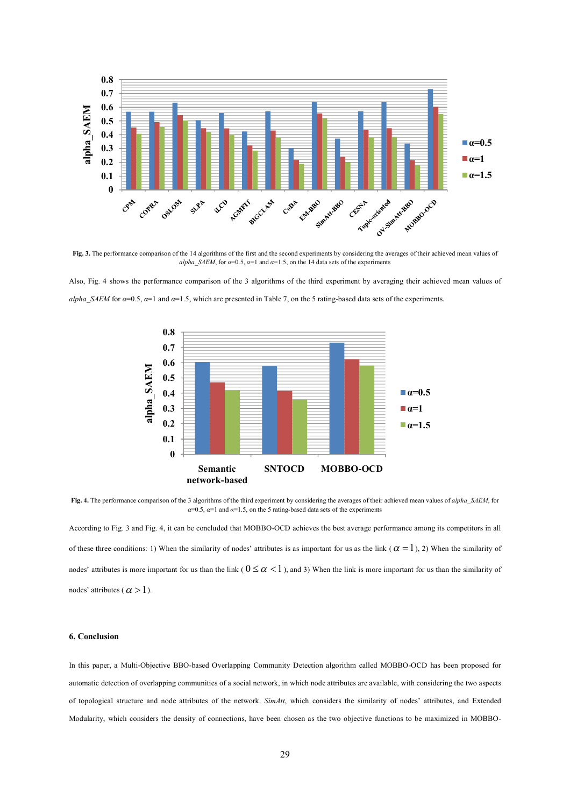

**Fig. 3.** The performance comparison of the 14 algorithms of the first and the second experiments by considering the averages of their achieved mean values of *alpha\_SAEM*, for  $\alpha=0.5$ ,  $\alpha=1$  and  $\alpha=1.5$ , on the 14 data sets of the experiments

Also, Fig. 4 shows the performance comparison of the 3 algorithms of the third experiment by averaging their achieved mean values of *alpha\_SAEM* for  $\alpha=0.5$ ,  $\alpha=1$  and  $\alpha=1.5$ , which are presented in Table 7, on the 5 rating-based data sets of the experiments.



**Fig. 4.** The performance comparison of the 3 algorithms of the third experiment by considering the averages of their achieved mean values of *alpha\_SAEM*, for  $\alpha=0.5$ ,  $\alpha=1$  and  $\alpha=1.5$ , on the 5 rating-based data sets of the experiments

According to Fig. 3 and Fig. 4, it can be concluded that MOBBO-OCD achieves the best average performance among its competitors in all of these three conditions: 1) When the similarity of nodes' attributes is as important for us as the link ( $\alpha = 1$ ), 2) When the similarity of nodes' attributes is more important for us than the link ( $0 \le \alpha < 1$ ), and 3) When the link is more important for us than the similarity of nodes' attributes ( $\alpha > 1$ ).

# **6. Conclusion**

In this paper, a Multi-Objective BBO-based Overlapping Community Detection algorithm called MOBBO-OCD has been proposed for automatic detection of overlapping communities of a social network, in which node attributes are available, with considering the two aspects of topological structure and node attributes of the network. *SimAtt*, which considers the similarity of nodes' attributes, and Extended Modularity, which considers the density of connections, have been chosen as the two objective functions to be maximized in MOBBO-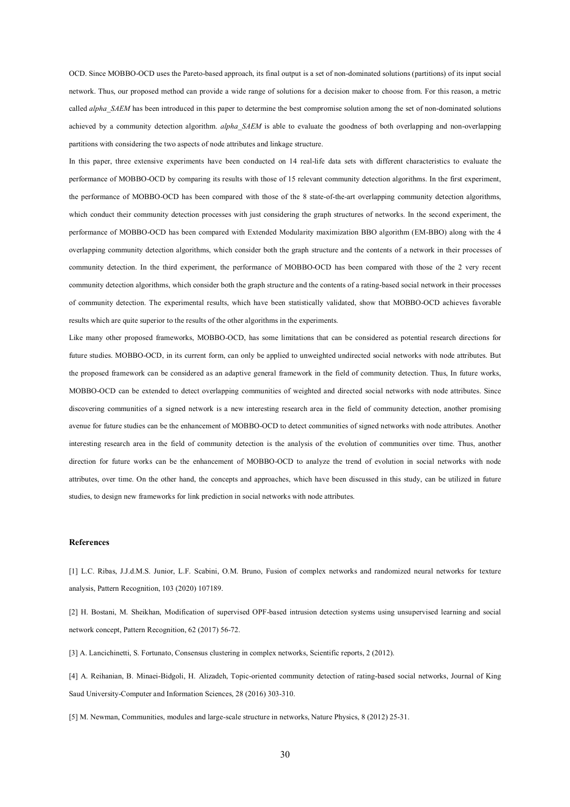OCD. Since MOBBO-OCD uses the Pareto-based approach, its final output is a set of non-dominated solutions (partitions) of its input social network. Thus, our proposed method can provide a wide range of solutions for a decision maker to choose from. For this reason, a metric called *alpha\_SAEM* has been introduced in this paper to determine the best compromise solution among the set of non-dominated solutions achieved by a community detection algorithm. *alpha\_SAEM* is able to evaluate the goodness of both overlapping and non-overlapping partitions with considering the two aspects of node attributes and linkage structure.

In this paper, three extensive experiments have been conducted on 14 real-life data sets with different characteristics to evaluate the performance of MOBBO-OCD by comparing its results with those of 15 relevant community detection algorithms. In the first experiment, the performance of MOBBO-OCD has been compared with those of the 8 state-of-the-art overlapping community detection algorithms, which conduct their community detection processes with just considering the graph structures of networks. In the second experiment, the performance of MOBBO-OCD has been compared with Extended Modularity maximization BBO algorithm (EM-BBO) along with the 4 overlapping community detection algorithms, which consider both the graph structure and the contents of a network in their processes of community detection. In the third experiment, the performance of MOBBO-OCD has been compared with those of the 2 very recent community detection algorithms, which consider both the graph structure and the contents of a rating-based social network in their processes of community detection. The experimental results, which have been statistically validated, show that MOBBO-OCD achieves favorable results which are quite superior to the results of the other algorithms in the experiments.

Like many other proposed frameworks, MOBBO-OCD, has some limitations that can be considered as potential research directions for future studies. MOBBO-OCD, in its current form, can only be applied to unweighted undirected social networks with node attributes. But the proposed framework can be considered as an adaptive general framework in the field of community detection. Thus, In future works, MOBBO-OCD can be extended to detect overlapping communities of weighted and directed social networks with node attributes. Since discovering communities of a signed network is a new interesting research area in the field of community detection, another promising avenue for future studies can be the enhancement of MOBBO-OCD to detect communities of signed networks with node attributes. Another interesting research area in the field of community detection is the analysis of the evolution of communities over time. Thus, another direction for future works can be the enhancement of MOBBO-OCD to analyze the trend of evolution in social networks with node attributes, over time. On the other hand, the concepts and approaches, which have been discussed in this study, can be utilized in future studies, to design new frameworks for link prediction in social networks with node attributes.

## **References**

[1] L.C. Ribas, J.J.d.M.S. Junior, L.F. Scabini, O.M. Bruno, Fusion of complex networks and randomized neural networks for texture analysis, Pattern Recognition, 103 (2020) 107189.

[2] H. Bostani, M. Sheikhan, Modification of supervised OPF-based intrusion detection systems using unsupervised learning and social network concept, Pattern Recognition, 62 (2017) 56-72.

[3] A. Lancichinetti, S. Fortunato, Consensus clustering in complex networks, Scientific reports, 2 (2012).

[4] A. Reihanian, B. Minaei-Bidgoli, H. Alizadeh, Topic-oriented community detection of rating-based social networks, Journal of King Saud University-Computer and Information Sciences, 28 (2016) 303-310.

[5] M. Newman, Communities, modules and large-scale structure in networks, Nature Physics, 8 (2012) 25-31.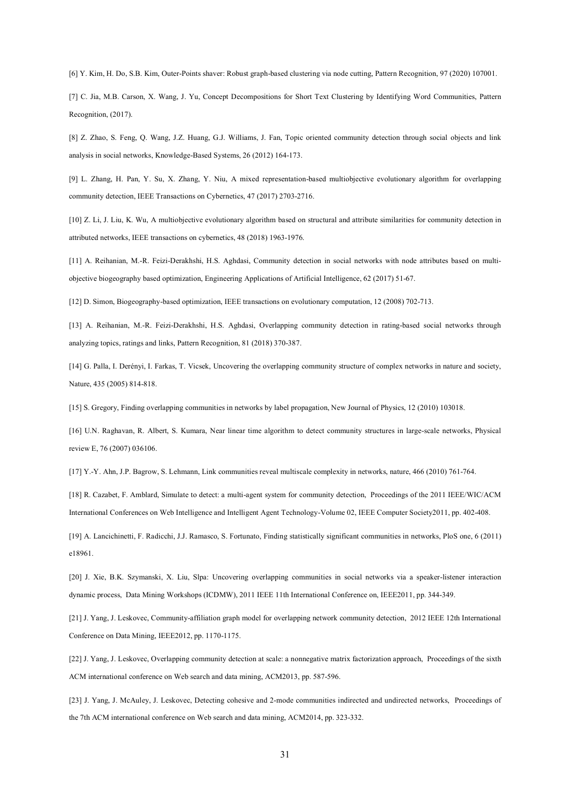[6] Y. Kim, H. Do, S.B. Kim, Outer-Points shaver: Robust graph-based clustering via node cutting, Pattern Recognition, 97 (2020) 107001.

[7] C. Jia, M.B. Carson, X. Wang, J. Yu, Concept Decompositions for Short Text Clustering by Identifying Word Communities, Pattern Recognition, (2017).

[8] Z. Zhao, S. Feng, Q. Wang, J.Z. Huang, G.J. Williams, J. Fan, Topic oriented community detection through social objects and link analysis in social networks, Knowledge-Based Systems, 26 (2012) 164-173.

[9] L. Zhang, H. Pan, Y. Su, X. Zhang, Y. Niu, A mixed representation-based multiobjective evolutionary algorithm for overlapping community detection, IEEE Transactions on Cybernetics, 47 (2017) 2703-2716.

[10] Z. Li, J. Liu, K. Wu, A multiobjective evolutionary algorithm based on structural and attribute similarities for community detection in attributed networks, IEEE transactions on cybernetics, 48 (2018) 1963-1976.

[11] A. Reihanian, M.-R. Feizi-Derakhshi, H.S. Aghdasi, Community detection in social networks with node attributes based on multiobjective biogeography based optimization, Engineering Applications of Artificial Intelligence, 62 (2017) 51-67.

[12] D. Simon, Biogeography-based optimization, IEEE transactions on evolutionary computation, 12 (2008) 702-713.

[13] A. Reihanian, M.-R. Feizi-Derakhshi, H.S. Aghdasi, Overlapping community detection in rating-based social networks through analyzing topics, ratings and links, Pattern Recognition, 81 (2018) 370-387.

[14] G. Palla, I. Derényi, I. Farkas, T. Vicsek, Uncovering the overlapping community structure of complex networks in nature and society, Nature, 435 (2005) 814-818.

[15] S. Gregory, Finding overlapping communities in networks by label propagation, New Journal of Physics, 12 (2010) 103018.

[16] U.N. Raghavan, R. Albert, S. Kumara, Near linear time algorithm to detect community structures in large-scale networks, Physical review E, 76 (2007) 036106.

[17] Y.-Y. Ahn, J.P. Bagrow, S. Lehmann, Link communities reveal multiscale complexity in networks, nature, 466 (2010) 761-764.

[18] R. Cazabet, F. Amblard, Simulate to detect: a multi-agent system for community detection, Proceedings of the 2011 IEEE/WIC/ACM International Conferences on Web Intelligence and Intelligent Agent Technology-Volume 02, IEEE Computer Society2011, pp. 402-408.

[19] A. Lancichinetti, F. Radicchi, J.J. Ramasco, S. Fortunato, Finding statistically significant communities in networks, PloS one, 6 (2011) e18961.

[20] J. Xie, B.K. Szymanski, X. Liu, Slpa: Uncovering overlapping communities in social networks via a speaker-listener interaction dynamic process, Data Mining Workshops (ICDMW), 2011 IEEE 11th International Conference on, IEEE2011, pp. 344-349.

[21] J. Yang, J. Leskovec, Community-affiliation graph model for overlapping network community detection, 2012 IEEE 12th International Conference on Data Mining, IEEE2012, pp. 1170-1175.

[22] J. Yang, J. Leskovec, Overlapping community detection at scale: a nonnegative matrix factorization approach, Proceedings of the sixth ACM international conference on Web search and data mining, ACM2013, pp. 587-596.

[23] J. Yang, J. McAuley, J. Leskovec, Detecting cohesive and 2-mode communities indirected and undirected networks, Proceedings of the 7th ACM international conference on Web search and data mining, ACM2014, pp. 323-332.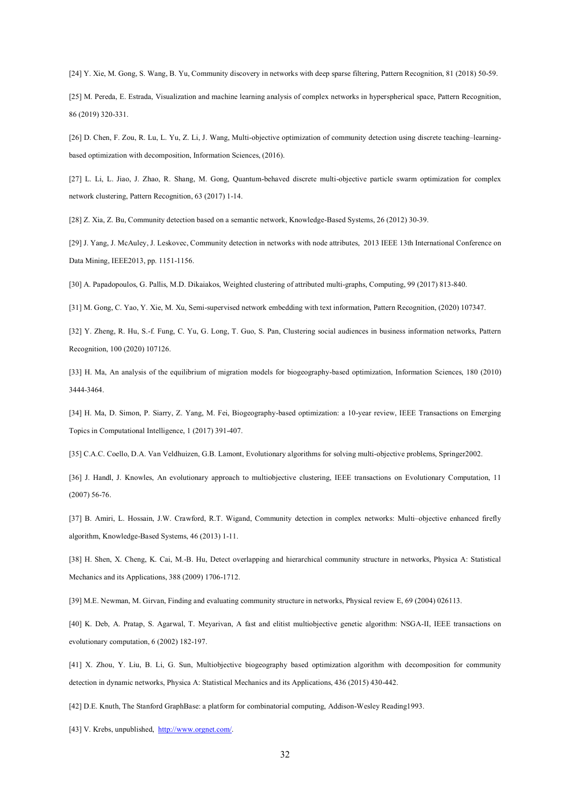[24] Y. Xie, M. Gong, S. Wang, B. Yu, Community discovery in networks with deep sparse filtering, Pattern Recognition, 81 (2018) 50-59.

[25] M. Pereda, E. Estrada, Visualization and machine learning analysis of complex networks in hyperspherical space, Pattern Recognition, 86 (2019) 320-331.

[26] D. Chen, F. Zou, R. Lu, L. Yu, Z. Li, J. Wang, Multi-objective optimization of community detection using discrete teaching–learningbased optimization with decomposition, Information Sciences, (2016).

[27] L. Li, L. Jiao, J. Zhao, R. Shang, M. Gong, Quantum-behaved discrete multi-objective particle swarm optimization for complex network clustering, Pattern Recognition, 63 (2017) 1-14.

[28] Z. Xia, Z. Bu, Community detection based on a semantic network, Knowledge-Based Systems, 26 (2012) 30-39.

[29] J. Yang, J. McAuley, J. Leskovec, Community detection in networks with node attributes, 2013 IEEE 13th International Conference on Data Mining, IEEE2013, pp. 1151-1156.

[30] A. Papadopoulos, G. Pallis, M.D. Dikaiakos, Weighted clustering of attributed multi-graphs, Computing, 99 (2017) 813-840.

[31] M. Gong, C. Yao, Y. Xie, M. Xu, Semi-supervised network embedding with text information, Pattern Recognition, (2020) 107347.

[32] Y. Zheng, R. Hu, S.-f. Fung, C. Yu, G. Long, T. Guo, S. Pan, Clustering social audiences in business information networks, Pattern Recognition, 100 (2020) 107126.

[33] H. Ma, An analysis of the equilibrium of migration models for biogeography-based optimization, Information Sciences, 180 (2010) 3444-3464.

[34] H. Ma, D. Simon, P. Siarry, Z. Yang, M. Fei, Biogeography-based optimization: a 10-year review, IEEE Transactions on Emerging Topics in Computational Intelligence, 1 (2017) 391-407.

[35] C.A.C. Coello, D.A. Van Veldhuizen, G.B. Lamont, Evolutionary algorithms for solving multi-objective problems, Springer2002.

[36] J. Handl, J. Knowles, An evolutionary approach to multiobjective clustering, IEEE transactions on Evolutionary Computation, 11 (2007) 56-76.

[37] B. Amiri, L. Hossain, J.W. Crawford, R.T. Wigand, Community detection in complex networks: Multi–objective enhanced firefly algorithm, Knowledge-Based Systems, 46 (2013) 1-11.

[38] H. Shen, X. Cheng, K. Cai, M.-B. Hu, Detect overlapping and hierarchical community structure in networks, Physica A: Statistical Mechanics and its Applications, 388 (2009) 1706-1712.

[39] M.E. Newman, M. Girvan, Finding and evaluating community structure in networks, Physical review E, 69 (2004) 026113.

[40] K. Deb, A. Pratap, S. Agarwal, T. Meyarivan, A fast and elitist multiobjective genetic algorithm: NSGA-II, IEEE transactions on evolutionary computation, 6 (2002) 182-197.

[41] X. Zhou, Y. Liu, B. Li, G. Sun, Multiobjective biogeography based optimization algorithm with decomposition for community detection in dynamic networks, Physica A: Statistical Mechanics and its Applications, 436 (2015) 430-442.

[42] D.E. Knuth, The Stanford GraphBase: a platform for combinatorial computing, Addison-Wesley Reading1993.

[43] V. Krebs, unpublished, http://www.orgnet.com/.